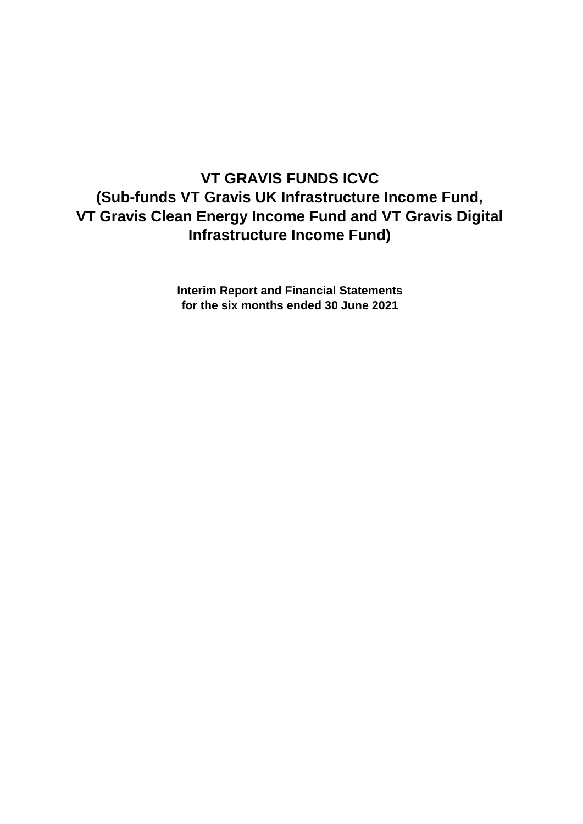# **VT GRAVIS FUNDS ICVC (Sub-funds VT Gravis UK Infrastructure Income Fund, VT Gravis Clean Energy Income Fund and VT Gravis Digital Infrastructure Income Fund)**

**Interim Report and Financial Statements for the six months ended 30 June 2021**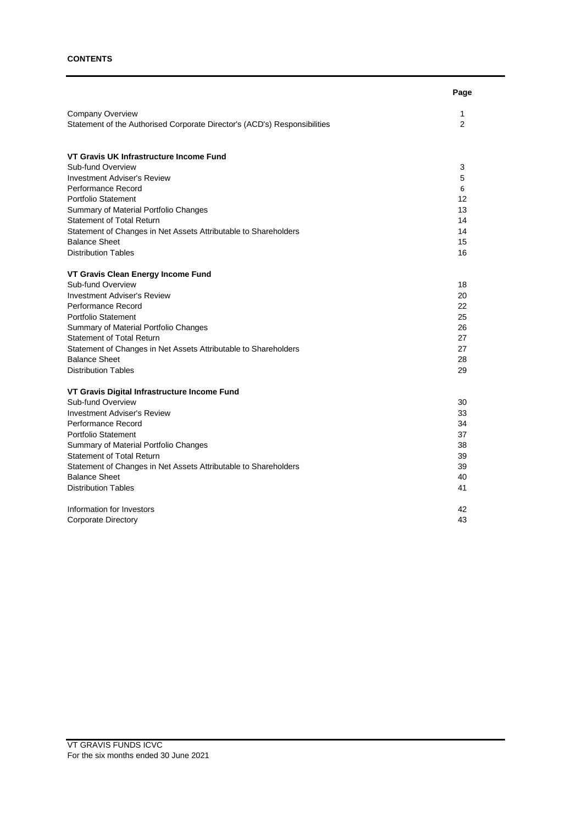# **CONTENTS**

|                                                                           | Page |
|---------------------------------------------------------------------------|------|
| Company Overview                                                          | 1    |
| Statement of the Authorised Corporate Director's (ACD's) Responsibilities | 2    |
| VT Gravis UK Infrastructure Income Fund                                   |      |
| Sub-fund Overview                                                         | 3    |
| <b>Investment Adviser's Review</b>                                        | 5    |
| Performance Record                                                        | 6    |
| <b>Portfolio Statement</b>                                                | 12   |
| Summary of Material Portfolio Changes                                     | 13   |
| <b>Statement of Total Return</b>                                          | 14   |
| Statement of Changes in Net Assets Attributable to Shareholders           | 14   |
| <b>Balance Sheet</b>                                                      | 15   |
| <b>Distribution Tables</b>                                                | 16   |
| VT Gravis Clean Energy Income Fund                                        |      |
| Sub-fund Overview                                                         | 18   |
| <b>Investment Adviser's Review</b>                                        | 20   |
| Performance Record                                                        | 22   |
| <b>Portfolio Statement</b>                                                | 25   |
| Summary of Material Portfolio Changes                                     | 26   |
| <b>Statement of Total Return</b>                                          | 27   |
| Statement of Changes in Net Assets Attributable to Shareholders           | 27   |
| <b>Balance Sheet</b>                                                      | 28   |
| <b>Distribution Tables</b>                                                | 29   |
| VT Gravis Digital Infrastructure Income Fund                              |      |
| Sub-fund Overview                                                         | 30   |
| <b>Investment Adviser's Review</b>                                        | 33   |
| Performance Record                                                        | 34   |
| <b>Portfolio Statement</b>                                                | 37   |
| Summary of Material Portfolio Changes                                     | 38   |
| <b>Statement of Total Return</b>                                          | 39   |
| Statement of Changes in Net Assets Attributable to Shareholders           | 39   |
| <b>Balance Sheet</b>                                                      | 40   |
| <b>Distribution Tables</b>                                                | 41   |
| Information for Investors                                                 | 42   |
| Corporate Directory                                                       | 43   |
|                                                                           |      |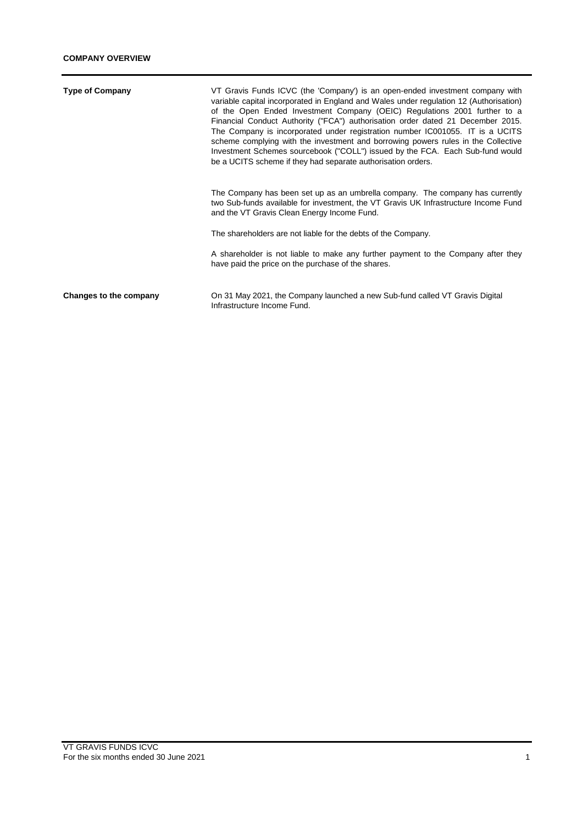| <b>Type of Company</b> | VT Gravis Funds ICVC (the 'Company') is an open-ended investment company with<br>variable capital incorporated in England and Wales under regulation 12 (Authorisation)<br>of the Open Ended Investment Company (OEIC) Regulations 2001 further to a<br>Financial Conduct Authority ("FCA") authorisation order dated 21 December 2015.<br>The Company is incorporated under registration number IC001055. IT is a UCITS<br>scheme complying with the investment and borrowing powers rules in the Collective<br>Investment Schemes sourcebook ("COLL") issued by the FCA. Each Sub-fund would<br>be a UCITS scheme if they had separate authorisation orders. |
|------------------------|----------------------------------------------------------------------------------------------------------------------------------------------------------------------------------------------------------------------------------------------------------------------------------------------------------------------------------------------------------------------------------------------------------------------------------------------------------------------------------------------------------------------------------------------------------------------------------------------------------------------------------------------------------------|
|                        | The Company has been set up as an umbrella company. The company has currently<br>two Sub-funds available for investment, the VT Gravis UK Infrastructure Income Fund<br>and the VT Gravis Clean Energy Income Fund.                                                                                                                                                                                                                                                                                                                                                                                                                                            |
|                        | The shareholders are not liable for the debts of the Company.                                                                                                                                                                                                                                                                                                                                                                                                                                                                                                                                                                                                  |
|                        | A shareholder is not liable to make any further payment to the Company after they<br>have paid the price on the purchase of the shares.                                                                                                                                                                                                                                                                                                                                                                                                                                                                                                                        |
| Changes to the company | On 31 May 2021, the Company launched a new Sub-fund called VT Gravis Digital<br>Infrastructure Income Fund.                                                                                                                                                                                                                                                                                                                                                                                                                                                                                                                                                    |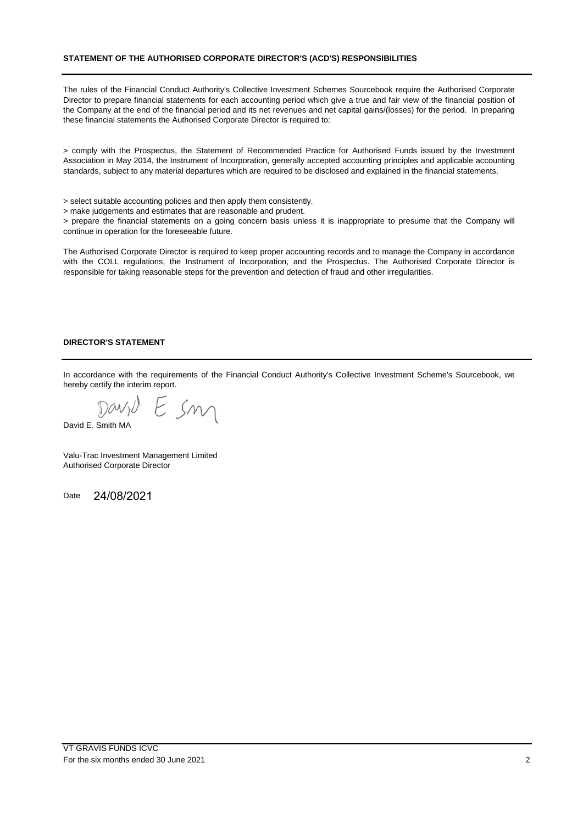## **STATEMENT OF THE AUTHORISED CORPORATE DIRECTOR'S (ACD'S) RESPONSIBILITIES**

The rules of the Financial Conduct Authority's Collective Investment Schemes Sourcebook require the Authorised Corporate Director to prepare financial statements for each accounting period which give a true and fair view of the financial position of the Company at the end of the financial period and its net revenues and net capital gains/(losses) for the period. In preparing these financial statements the Authorised Corporate Director is required to:

> comply with the Prospectus, the Statement of Recommended Practice for Authorised Funds issued by the Investment Association in May 2014, the Instrument of Incorporation, generally accepted accounting principles and applicable accounting standards, subject to any material departures which are required to be disclosed and explained in the financial statements.

> select suitable accounting policies and then apply them consistently.

> make judgements and estimates that are reasonable and prudent.

> prepare the financial statements on a going concern basis unless it is inappropriate to presume that the Company will continue in operation for the foreseeable future.

The Authorised Corporate Director is required to keep proper accounting records and to manage the Company in accordance with the COLL regulations, the Instrument of Incorporation, and the Prospectus. The Authorised Corporate Director is responsible for taking reasonable steps for the prevention and detection of fraud and other irregularities.

#### **DIRECTOR'S STATEMENT**

In accordance with the requirements of the Financial Conduct Authority's Collective Investment Scheme's Sourcebook, we hereby certify the interim report.

Esm Days

David E. Smith MA

Valu-Trac Investment Management Limited Authorised Corporate Director

Date 24/08/2021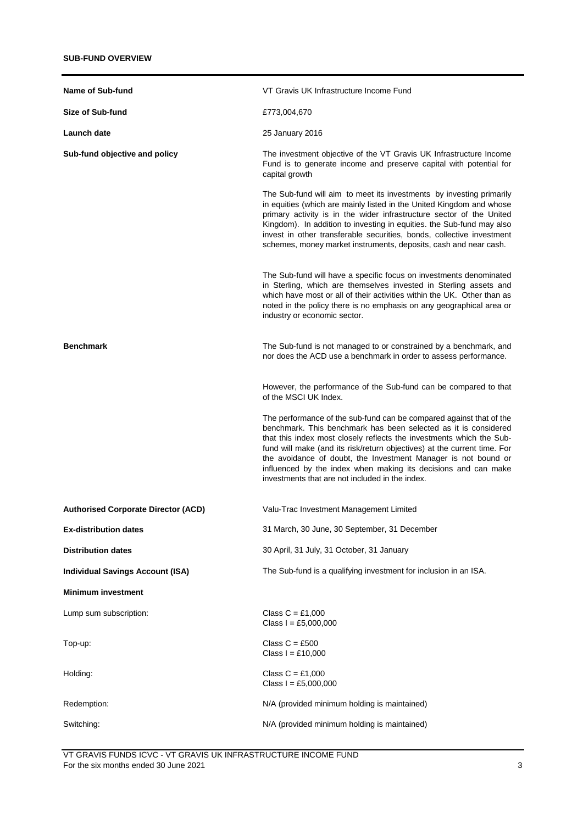| <b>Name of Sub-fund</b>                    | VT Gravis UK Infrastructure Income Fund                                                                                                                                                                                                                                                                                                                                                                                                                                           |
|--------------------------------------------|-----------------------------------------------------------------------------------------------------------------------------------------------------------------------------------------------------------------------------------------------------------------------------------------------------------------------------------------------------------------------------------------------------------------------------------------------------------------------------------|
| Size of Sub-fund                           | £773,004,670                                                                                                                                                                                                                                                                                                                                                                                                                                                                      |
| Launch date                                | 25 January 2016                                                                                                                                                                                                                                                                                                                                                                                                                                                                   |
| Sub-fund objective and policy              | The investment objective of the VT Gravis UK Infrastructure Income<br>Fund is to generate income and preserve capital with potential for<br>capital growth                                                                                                                                                                                                                                                                                                                        |
|                                            | The Sub-fund will aim to meet its investments by investing primarily<br>in equities (which are mainly listed in the United Kingdom and whose<br>primary activity is in the wider infrastructure sector of the United<br>Kingdom). In addition to investing in equities. the Sub-fund may also<br>invest in other transferable securities, bonds, collective investment<br>schemes, money market instruments, deposits, cash and near cash.                                        |
|                                            | The Sub-fund will have a specific focus on investments denominated<br>in Sterling, which are themselves invested in Sterling assets and<br>which have most or all of their activities within the UK. Other than as<br>noted in the policy there is no emphasis on any geographical area or<br>industry or economic sector.                                                                                                                                                        |
| <b>Benchmark</b>                           | The Sub-fund is not managed to or constrained by a benchmark, and<br>nor does the ACD use a benchmark in order to assess performance.                                                                                                                                                                                                                                                                                                                                             |
|                                            | However, the performance of the Sub-fund can be compared to that<br>of the MSCI UK Index.                                                                                                                                                                                                                                                                                                                                                                                         |
|                                            | The performance of the sub-fund can be compared against that of the<br>benchmark. This benchmark has been selected as it is considered<br>that this index most closely reflects the investments which the Sub-<br>fund will make (and its risk/return objectives) at the current time. For<br>the avoidance of doubt, the Investment Manager is not bound or<br>influenced by the index when making its decisions and can make<br>investments that are not included in the index. |
| <b>Authorised Corporate Director (ACD)</b> | Valu-Trac Investment Management Limited                                                                                                                                                                                                                                                                                                                                                                                                                                           |
| <b>Ex-distribution dates</b>               | 31 March, 30 June, 30 September, 31 December                                                                                                                                                                                                                                                                                                                                                                                                                                      |
| <b>Distribution dates</b>                  | 30 April, 31 July, 31 October, 31 January                                                                                                                                                                                                                                                                                                                                                                                                                                         |
| <b>Individual Savings Account (ISA)</b>    | The Sub-fund is a qualifying investment for inclusion in an ISA.                                                                                                                                                                                                                                                                                                                                                                                                                  |
| <b>Minimum investment</b>                  |                                                                                                                                                                                                                                                                                                                                                                                                                                                                                   |
| Lump sum subscription:                     | Class $C = £1,000$<br>Class $I = £5,000,000$                                                                                                                                                                                                                                                                                                                                                                                                                                      |
| Top-up:                                    | Class $C = £500$<br>Class $I = £10,000$                                                                                                                                                                                                                                                                                                                                                                                                                                           |
| Holding:                                   | Class $C = £1,000$<br>Class $I = £5,000,000$                                                                                                                                                                                                                                                                                                                                                                                                                                      |
| Redemption:                                | N/A (provided minimum holding is maintained)                                                                                                                                                                                                                                                                                                                                                                                                                                      |
| Switching:                                 | N/A (provided minimum holding is maintained)                                                                                                                                                                                                                                                                                                                                                                                                                                      |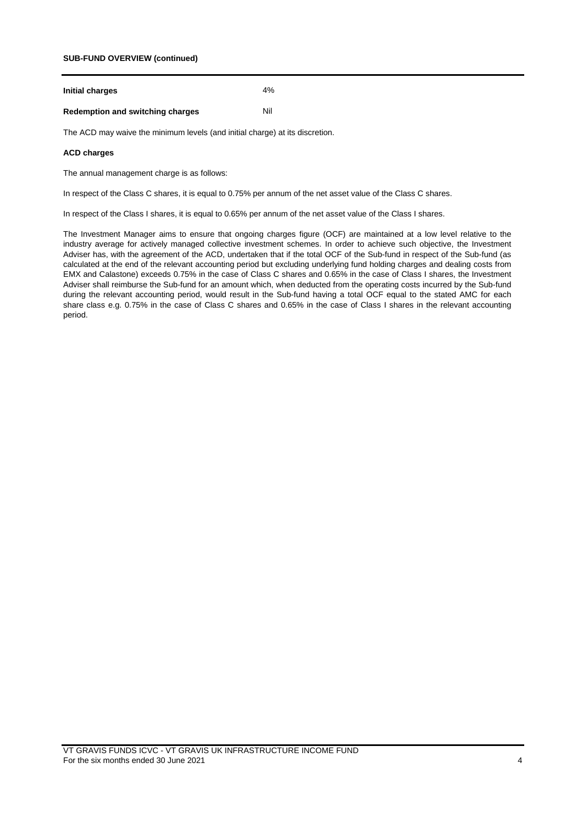## **SUB-FUND OVERVIEW (continued)**

| Initial charges | 4% |
|-----------------|----|
|-----------------|----|

# **Redemption and switching charges** Nil

The ACD may waive the minimum levels (and initial charge) at its discretion.

#### **ACD charges**

The annual management charge is as follows:

In respect of the Class C shares, it is equal to 0.75% per annum of the net asset value of the Class C shares.

In respect of the Class I shares, it is equal to 0.65% per annum of the net asset value of the Class I shares.

The Investment Manager aims to ensure that ongoing charges figure (OCF) are maintained at a low level relative to the industry average for actively managed collective investment schemes. In order to achieve such objective, the Investment Adviser has, with the agreement of the ACD, undertaken that if the total OCF of the Sub-fund in respect of the Sub-fund (as calculated at the end of the relevant accounting period but excluding underlying fund holding charges and dealing costs from EMX and Calastone) exceeds 0.75% in the case of Class C shares and 0.65% in the case of Class I shares, the Investment Adviser shall reimburse the Sub-fund for an amount which, when deducted from the operating costs incurred by the Sub-fund during the relevant accounting period, would result in the Sub-fund having a total OCF equal to the stated AMC for each share class e.g. 0.75% in the case of Class C shares and 0.65% in the case of Class I shares in the relevant accounting period.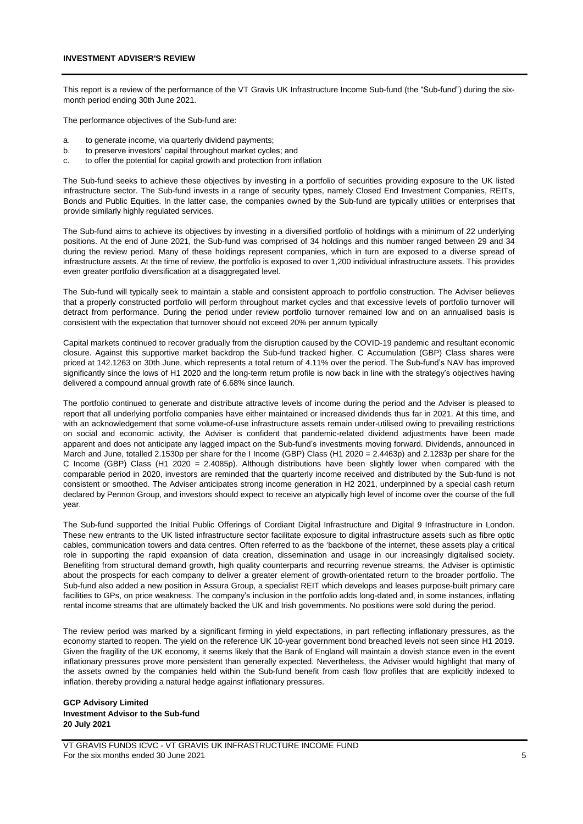This report is a review of the performance of the VT Gravis UK Infrastructure Income Sub-fund (the "Sub-fund") during the sixmonth period ending 30th June 2021.

The performance objectives of the Sub-fund are:

- a. to generate income, via quarterly dividend payments;
- b. to preserve investors' capital throughout market cycles; and
- c. to offer the potential for capital growth and protection from inflation

The Sub-fund seeks to achieve these objectives by investing in a portfolio of securities providing exposure to the UK listed infrastructure sector. The Sub-fund invests in a range of security types, namely Closed End Investment Companies, REITs, Bonds and Public Equities. In the latter case, the companies owned by the Sub-fund are typically utilities or enterprises that provide similarly highly regulated services.

The Sub-fund aims to achieve its objectives by investing in a diversified portfolio of holdings with a minimum of 22 underlying positions. At the end of June 2021, the Sub-fund was comprised of 34 holdings and this number ranged between 29 and 34 during the review period. Many of these holdings represent companies, which in turn are exposed to a diverse spread of infrastructure assets. At the time of review, the portfolio is exposed to over 1,200 individual infrastructure assets. This provides even greater portfolio diversification at a disaggregated level.

The Sub-fund will typically seek to maintain a stable and consistent approach to portfolio construction. The Adviser believes that a properly constructed portfolio will perform throughout market cycles and that excessive levels of portfolio turnover will detract from performance. During the period under review portfolio turnover remained low and on an annualised basis is consistent with the expectation that turnover should not exceed 20% per annum typically

Capital markets continued to recover gradually from the disruption caused by the COVID-19 pandemic and resultant economic closure. Against this supportive market backdrop the Sub-fund tracked higher. C Accumulation (GBP) Class shares were priced at 142.1263 on 30th June, which represents a total return of 4.11% over the period. The Sub-fund's NAV has improved significantly since the lows of H1 2020 and the long-term return profile is now back in line with the strategy's objectives having delivered a compound annual growth rate of 6.68% since launch.

The portfolio continued to generate and distribute attractive levels of income during the period and the Adviser is pleased to report that all underlying portfolio companies have either maintained or increased dividends thus far in 2021. At this time, and with an acknowledgement that some volume-of-use infrastructure assets remain under-utilised owing to prevailing restrictions on social and economic activity, the Adviser is confident that pandemic-related dividend adjustments have been made apparent and does not anticipate any lagged impact on the Sub-fund's investments moving forward. Dividends, announced in March and June, totalled 2.1530p per share for the I Income (GBP) Class (H1 2020 = 2.4463p) and 2.1283p per share for the C Income (GBP) Class (H1 2020 = 2.4085p). Although distributions have been slightly lower when compared with the comparable period in 2020, investors are reminded that the quarterly income received and distributed by the Sub-fund is not consistent or smoothed. The Adviser anticipates strong income generation in H2 2021, underpinned by a special cash return declared by Pennon Group, and investors should expect to receive an atypically high level of income over the course of the full year.

The Sub-fund supported the Initial Public Offerings of Cordiant Digital Infrastructure and Digital 9 Infrastructure in London. These new entrants to the UK listed infrastructure sector facilitate exposure to digital infrastructure assets such as fibre optic cables, communication towers and data centres. Often referred to as the 'backbone of the internet, these assets play a critical role in supporting the rapid expansion of data creation, dissemination and usage in our increasingly digitalised society. Benefiting from structural demand growth, high quality counterparts and recurring revenue streams, the Adviser is optimistic about the prospects for each company to deliver a greater element of growth-orientated return to the broader portfolio. The Sub-fund also added a new position in Assura Group, a specialist REIT which develops and leases purpose-built primary care facilities to GPs, on price weakness. The company's inclusion in the portfolio adds long-dated and, in some instances, inflating rental income streams that are ultimately backed the UK and Irish governments. No positions were sold during the period.

The review period was marked by a significant firming in yield expectations, in part reflecting inflationary pressures, as the economy started to reopen. The yield on the reference UK 10-year government bond breached levels not seen since H1 2019. Given the fragility of the UK economy, it seems likely that the Bank of England will maintain a dovish stance even in the event inflationary pressures prove more persistent than generally expected. Nevertheless, the Adviser would highlight that many of the assets owned by the companies held within the Sub-fund benefit from cash flow profiles that are explicitly indexed to inflation, thereby providing a natural hedge against inflationary pressures.

#### **GCP Advisory Limited Investment Advisor to the Sub-fund 20 July 2021**

VT GRAVIS FUNDS ICVC - VT GRAVIS UK INFRASTRUCTURE INCOME FUND For the six months ended 30 June 2021 5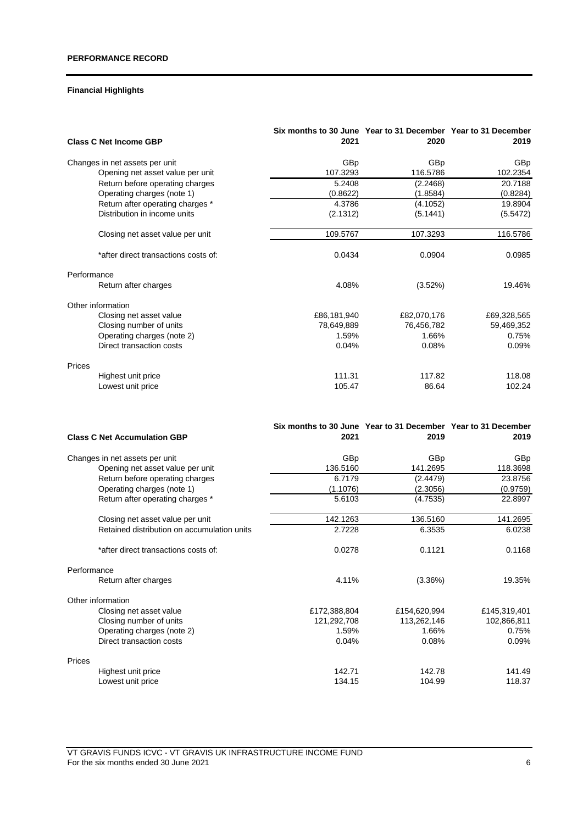# **Financial Highlights**

| <b>Class C Net Income GBP</b>        | Six months to 30 June Year to 31 December Year to 31 December<br>2021 | 2020        | 2019        |
|--------------------------------------|-----------------------------------------------------------------------|-------------|-------------|
| Changes in net assets per unit       | GBp                                                                   | GBp         | GBp         |
| Opening net asset value per unit     | 107.3293                                                              | 116.5786    | 102.2354    |
| Return before operating charges      | 5.2408                                                                | (2.2468)    | 20.7188     |
| Operating charges (note 1)           | (0.8622)                                                              | (1.8584)    | (0.8284)    |
| Return after operating charges *     | 4.3786                                                                | (4.1052)    | 19.8904     |
| Distribution in income units         | (2.1312)                                                              | (5.1441)    | (5.5472)    |
| Closing net asset value per unit     | 109.5767                                                              | 107.3293    | 116.5786    |
| *after direct transactions costs of: | 0.0434                                                                | 0.0904      | 0.0985      |
| Performance                          |                                                                       |             |             |
| Return after charges                 | 4.08%                                                                 | (3.52%)     | 19.46%      |
| Other information                    |                                                                       |             |             |
| Closing net asset value              | £86,181,940                                                           | £82,070,176 | £69,328,565 |
| Closing number of units              | 78,649,889                                                            | 76,456,782  | 59,469,352  |
| Operating charges (note 2)           | 1.59%                                                                 | 1.66%       | 0.75%       |
| Direct transaction costs             | 0.04%                                                                 | 0.08%       | 0.09%       |
| Prices                               |                                                                       |             |             |
| Highest unit price                   | 111.31                                                                | 117.82      | 118.08      |
| Lowest unit price                    | 105.47                                                                | 86.64       | 102.24      |

| <b>Class C Net Accumulation GBP</b>         | Six months to 30 June Year to 31 December Year to 31 December<br>2021 | 2019         | 2019         |
|---------------------------------------------|-----------------------------------------------------------------------|--------------|--------------|
| Changes in net assets per unit              | GBp                                                                   | GBp          | GBp          |
| Opening net asset value per unit            | 136.5160                                                              | 141.2695     | 118.3698     |
| Return before operating charges             | 6.7179                                                                | (2.4479)     | 23.8756      |
| Operating charges (note 1)                  | (1.1076)                                                              | (2.3056)     | (0.9759)     |
| Return after operating charges *            | 5.6103                                                                | (4.7535)     | 22.8997      |
| Closing net asset value per unit            | 142.1263                                                              | 136.5160     | 141.2695     |
| Retained distribution on accumulation units | 2.7228                                                                | 6.3535       | 6.0238       |
| *after direct transactions costs of:        | 0.0278                                                                | 0.1121       | 0.1168       |
| Performance                                 |                                                                       |              |              |
| Return after charges                        | 4.11%                                                                 | (3.36%)      | 19.35%       |
| Other information                           |                                                                       |              |              |
| Closing net asset value                     | £172,388,804                                                          | £154,620,994 | £145,319,401 |
| Closing number of units                     | 121,292,708                                                           | 113,262,146  | 102,866,811  |
| Operating charges (note 2)                  | 1.59%                                                                 | 1.66%        | 0.75%        |
| Direct transaction costs                    | 0.04%                                                                 | 0.08%        | 0.09%        |
| Prices                                      |                                                                       |              |              |
| Highest unit price                          | 142.71                                                                | 142.78       | 141.49       |
| Lowest unit price                           | 134.15                                                                | 104.99       | 118.37       |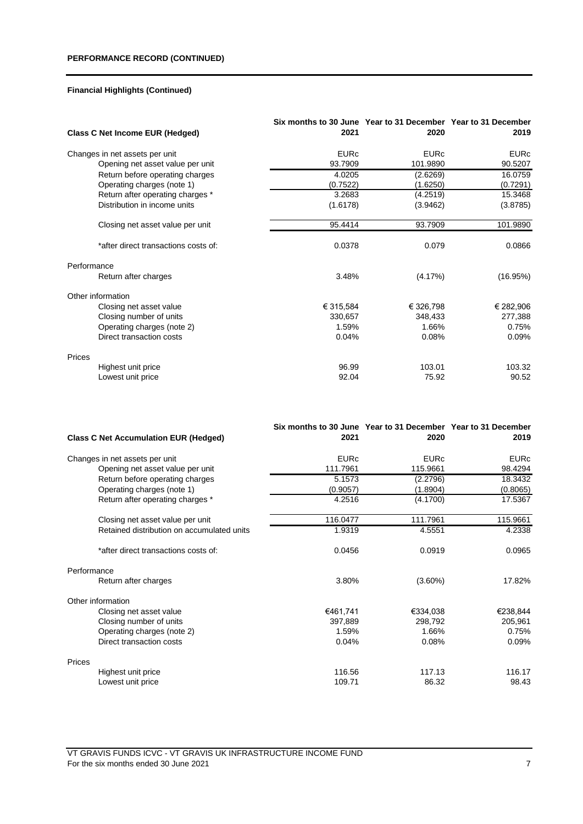| <b>Class C Net Income EUR (Hedged)</b> | Six months to 30 June Year to 31 December Year to 31 December<br>2021 | 2020        | 2019        |
|----------------------------------------|-----------------------------------------------------------------------|-------------|-------------|
| Changes in net assets per unit         | <b>EURc</b>                                                           | <b>EURc</b> | <b>EURc</b> |
| Opening net asset value per unit       | 93.7909                                                               | 101.9890    | 90.5207     |
| Return before operating charges        | 4.0205                                                                | (2.6269)    | 16.0759     |
| Operating charges (note 1)             | (0.7522)                                                              | (1.6250)    | (0.7291)    |
| Return after operating charges *       | 3.2683                                                                | (4.2519)    | 15.3468     |
| Distribution in income units           | (1.6178)                                                              | (3.9462)    | (3.8785)    |
| Closing net asset value per unit       | 95.4414                                                               | 93.7909     | 101.9890    |
| *after direct transactions costs of:   | 0.0378                                                                | 0.079       | 0.0866      |
| Performance                            |                                                                       |             |             |
| Return after charges                   | 3.48%                                                                 | (4.17%)     | (16.95%)    |
| Other information                      |                                                                       |             |             |
| Closing net asset value                | € 315,584                                                             | € 326,798   | € 282,906   |
| Closing number of units                | 330,657                                                               | 348,433     | 277,388     |
| Operating charges (note 2)             | 1.59%                                                                 | 1.66%       | 0.75%       |
| Direct transaction costs               | 0.04%                                                                 | 0.08%       | 0.09%       |
| Prices                                 |                                                                       |             |             |
| Highest unit price                     | 96.99                                                                 | 103.01      | 103.32      |
| Lowest unit price                      | 92.04                                                                 | 75.92       | 90.52       |

| <b>Class C Net Accumulation EUR (Hedged)</b> | Six months to 30 June Year to 31 December Year to 31 December<br>2021 | 2020        | 2019        |
|----------------------------------------------|-----------------------------------------------------------------------|-------------|-------------|
| Changes in net assets per unit               | <b>EURc</b>                                                           | <b>EURc</b> | <b>EURc</b> |
| Opening net asset value per unit             | 111.7961                                                              | 115.9661    | 98.4294     |
| Return before operating charges              | 5.1573                                                                | (2.2796)    | 18.3432     |
| Operating charges (note 1)                   | (0.9057)                                                              | (1.8904)    | (0.8065)    |
| Return after operating charges *             | 4.2516                                                                | (4.1700)    | 17.5367     |
| Closing net asset value per unit             | 116.0477                                                              | 111.7961    | 115.9661    |
| Retained distribution on accumulated units   | 1.9319                                                                | 4.5551      | 4.2338      |
| *after direct transactions costs of:         | 0.0456                                                                | 0.0919      | 0.0965      |
| Performance                                  |                                                                       |             |             |
| Return after charges                         | 3.80%                                                                 | $(3.60\%)$  | 17.82%      |
| Other information                            |                                                                       |             |             |
| Closing net asset value                      | €461,741                                                              | €334,038    | €238,844    |
| Closing number of units                      | 397,889                                                               | 298,792     | 205,961     |
| Operating charges (note 2)                   | 1.59%                                                                 | 1.66%       | 0.75%       |
| Direct transaction costs                     | 0.04%                                                                 | 0.08%       | 0.09%       |
| Prices                                       |                                                                       |             |             |
| Highest unit price                           | 116.56                                                                | 117.13      | 116.17      |
| Lowest unit price                            | 109.71                                                                | 86.32       | 98.43       |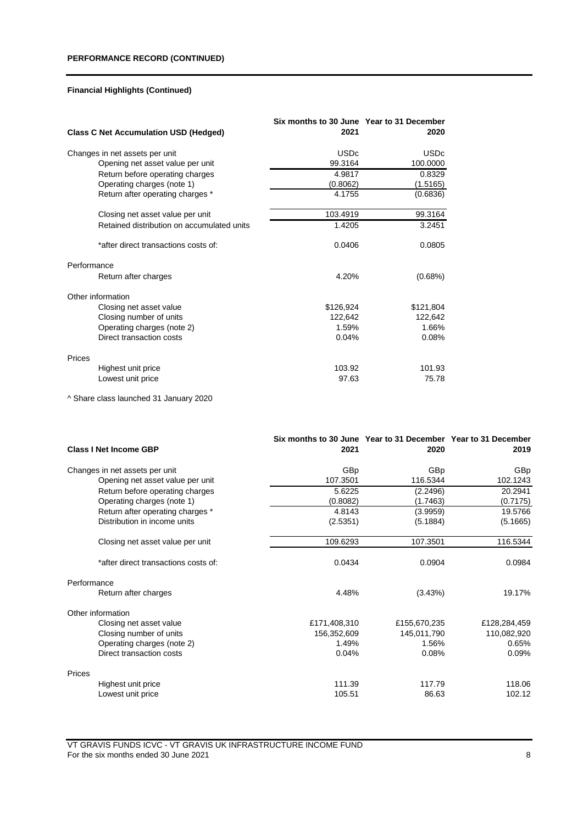|                                              | Six months to 30 June Year to 31 December |             |
|----------------------------------------------|-------------------------------------------|-------------|
| <b>Class C Net Accumulation USD (Hedged)</b> | 2021                                      | 2020        |
| Changes in net assets per unit               | <b>USDc</b>                               | <b>USDc</b> |
| Opening net asset value per unit             | 99.3164                                   | 100.0000    |
| Return before operating charges              | 4.9817                                    | 0.8329      |
| Operating charges (note 1)                   | (0.8062)                                  | (1.5165)    |
| Return after operating charges *             | 4.1755                                    | (0.6836)    |
| Closing net asset value per unit             | 103.4919                                  | 99.3164     |
| Retained distribution on accumulated units   | 1.4205                                    | 3.2451      |
| *after direct transactions costs of:         | 0.0406                                    | 0.0805      |
| Performance                                  |                                           |             |
| Return after charges                         | 4.20%                                     | (0.68%)     |
| Other information                            |                                           |             |
| Closing net asset value                      | \$126,924                                 | \$121,804   |
| Closing number of units                      | 122,642                                   | 122,642     |
| Operating charges (note 2)                   | 1.59%                                     | 1.66%       |
| Direct transaction costs                     | 0.04%                                     | 0.08%       |
| Prices                                       |                                           |             |
| Highest unit price                           | 103.92                                    | 101.93      |
| Lowest unit price                            | 97.63                                     | 75.78       |

^ Share class launched 31 January 2020

| <b>Class I Net Income GBP</b>        | Six months to 30 June Year to 31 December Year to 31 December<br>2021 | 2020         | 2019         |
|--------------------------------------|-----------------------------------------------------------------------|--------------|--------------|
| Changes in net assets per unit       | GBp                                                                   | GBp          | GBp          |
| Opening net asset value per unit     | 107.3501                                                              | 116.5344     | 102.1243     |
| Return before operating charges      | 5.6225                                                                | (2.2496)     | 20.2941      |
| Operating charges (note 1)           | (0.8082)                                                              | (1.7463)     | (0.7175)     |
| Return after operating charges *     | 4.8143                                                                | (3.9959)     | 19.5766      |
| Distribution in income units         | (2.5351)                                                              | (5.1884)     | (5.1665)     |
| Closing net asset value per unit     | 109.6293                                                              | 107.3501     | 116.5344     |
| *after direct transactions costs of: | 0.0434                                                                | 0.0904       | 0.0984       |
| Performance                          |                                                                       |              |              |
| Return after charges                 | 4.48%                                                                 | (3.43%)      | 19.17%       |
| Other information                    |                                                                       |              |              |
| Closing net asset value              | £171,408,310                                                          | £155,670,235 | £128,284,459 |
| Closing number of units              | 156,352,609                                                           | 145,011,790  | 110,082,920  |
| Operating charges (note 2)           | 1.49%                                                                 | 1.56%        | 0.65%        |
| Direct transaction costs             | 0.04%                                                                 | 0.08%        | 0.09%        |
| Prices                               |                                                                       |              |              |
| Highest unit price                   | 111.39                                                                | 117.79       | 118.06       |
| Lowest unit price                    | 105.51                                                                | 86.63        | 102.12       |

VT GRAVIS FUNDS ICVC - VT GRAVIS UK INFRASTRUCTURE INCOME FUND For the six months ended 30 June 2021 8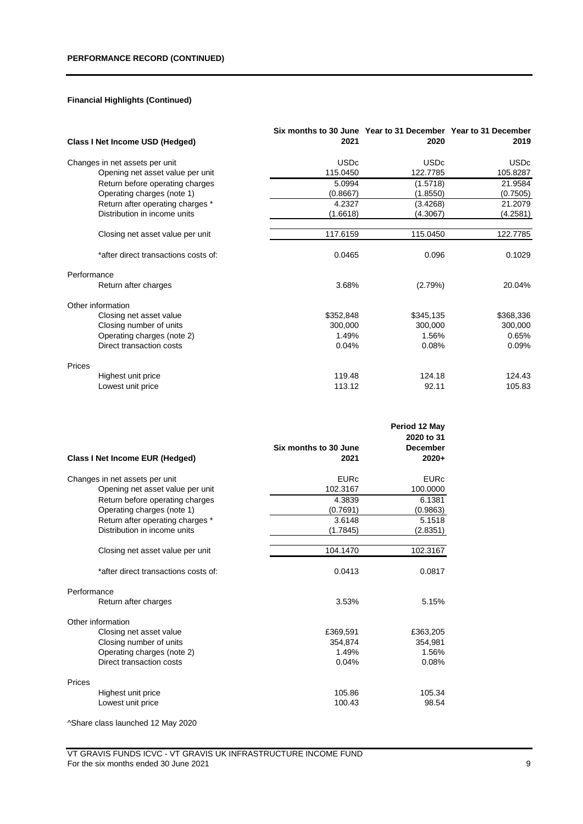| Class I Net Income USD (Hedged)      | Six months to 30 June Year to 31 December Year to 31 December<br>2021 | 2020        | 2019        |
|--------------------------------------|-----------------------------------------------------------------------|-------------|-------------|
| Changes in net assets per unit       | <b>USDc</b>                                                           | <b>USDc</b> | <b>USDc</b> |
| Opening net asset value per unit     | 115.0450                                                              | 122.7785    | 105.8287    |
| Return before operating charges      | 5.0994                                                                | (1.5718)    | 21.9584     |
| Operating charges (note 1)           | (0.8667)                                                              | (1.8550)    | (0.7505)    |
| Return after operating charges *     | 4.2327                                                                | (3.4268)    | 21.2079     |
| Distribution in income units         | (1.6618)                                                              | (4.3067)    | (4.2581)    |
| Closing net asset value per unit     | 117.6159                                                              | 115.0450    | 122.7785    |
| *after direct transactions costs of: | 0.0465                                                                | 0.096       | 0.1029      |
| Performance                          |                                                                       |             |             |
| Return after charges                 | 3.68%                                                                 | (2.79%)     | 20.04%      |
| Other information                    |                                                                       |             |             |
| Closing net asset value              | \$352,848                                                             | \$345,135   | \$368,336   |
| Closing number of units              | 300,000                                                               | 300,000     | 300,000     |
| Operating charges (note 2)           | 1.49%                                                                 | 1.56%       | 0.65%       |
| Direct transaction costs             | 0.04%                                                                 | 0.08%       | 0.09%       |
| Prices                               |                                                                       |             |             |
| Highest unit price                   | 119.48                                                                | 124.18      | 124.43      |
| Lowest unit price                    | 113.12                                                                | 92.11       | 105.83      |

|                                      |                               | Period 12 May<br>2020 to 31 |
|--------------------------------------|-------------------------------|-----------------------------|
| Class I Net Income EUR (Hedged)      | Six months to 30 June<br>2021 | <b>December</b><br>$2020+$  |
| Changes in net assets per unit       | <b>EURc</b>                   | <b>EURc</b>                 |
| Opening net asset value per unit     | 102.3167                      | 100.0000                    |
| Return before operating charges      | 4.3839                        | 6.1381                      |
| Operating charges (note 1)           | (0.7691)                      | (0.9863)                    |
| Return after operating charges *     | 3.6148                        | 5.1518                      |
| Distribution in income units         | (1.7845)                      | (2.8351)                    |
| Closing net asset value per unit     | 104.1470                      | 102.3167                    |
|                                      |                               |                             |
| *after direct transactions costs of: | 0.0413                        | 0.0817                      |
| Performance                          |                               |                             |
| Return after charges                 | 3.53%                         | 5.15%                       |
| Other information                    |                               |                             |
| Closing net asset value              | £369,591                      | £363,205                    |
| Closing number of units              | 354,874                       | 354,981                     |
| Operating charges (note 2)           | 1.49%                         | 1.56%                       |
| Direct transaction costs             | 0.04%                         | 0.08%                       |
| Prices                               |                               |                             |
| Highest unit price                   | 105.86                        | 105.34                      |
| Lowest unit price                    | 100.43                        | 98.54                       |

^Share class launched 12 May 2020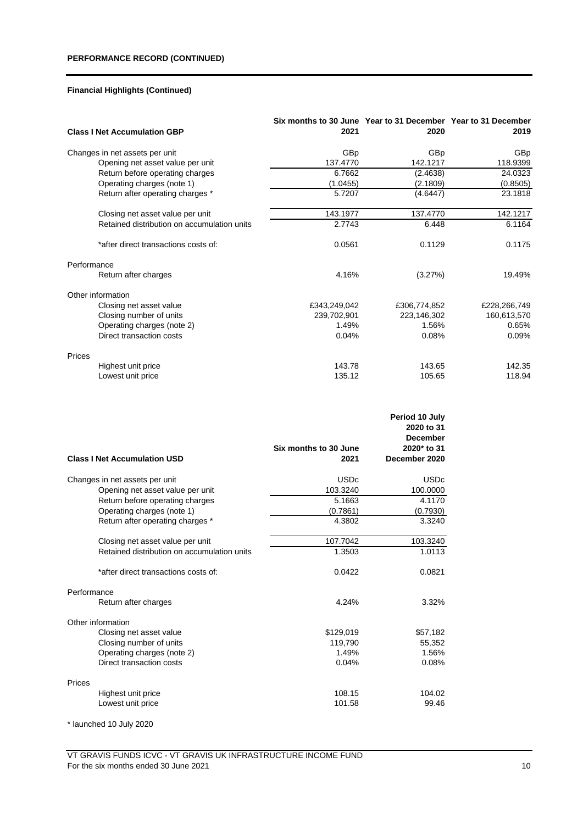|             | <b>Class I Net Accumulation GBP</b>         | Six months to 30 June Year to 31 December Year to 31 December<br>2021 | 2020         | 2019         |
|-------------|---------------------------------------------|-----------------------------------------------------------------------|--------------|--------------|
|             | Changes in net assets per unit              | GBp                                                                   | GBp          | GBp          |
|             | Opening net asset value per unit            | 137.4770                                                              | 142.1217     | 118.9399     |
|             | Return before operating charges             | 6.7662                                                                | (2.4638)     | 24.0323      |
|             | Operating charges (note 1)                  | (1.0455)                                                              | (2.1809)     | (0.8505)     |
|             | Return after operating charges *            | 5.7207                                                                | (4.6447)     | 23.1818      |
|             | Closing net asset value per unit            | 143.1977                                                              | 137.4770     | 142.1217     |
|             | Retained distribution on accumulation units | 2.7743                                                                | 6.448        | 6.1164       |
|             | *after direct transactions costs of:        | 0.0561                                                                | 0.1129       | 0.1175       |
| Performance |                                             |                                                                       |              |              |
|             | Return after charges                        | 4.16%                                                                 | (3.27%)      | 19.49%       |
|             | Other information                           |                                                                       |              |              |
|             | Closing net asset value                     | £343,249,042                                                          | £306,774,852 | £228,266,749 |
|             | Closing number of units                     | 239,702,901                                                           | 223,146,302  | 160,613,570  |
|             | Operating charges (note 2)                  | 1.49%                                                                 | 1.56%        | 0.65%        |
|             | Direct transaction costs                    | 0.04%                                                                 | 0.08%        | 0.09%        |
| Prices      |                                             |                                                                       |              |              |
|             | Highest unit price                          | 143.78                                                                | 143.65       | 142.35       |
|             | Lowest unit price                           | 135.12                                                                | 105.65       | 118.94       |

|                                             |                       | Period 10 July<br>2020 to 31<br><b>December</b> |
|---------------------------------------------|-----------------------|-------------------------------------------------|
|                                             | Six months to 30 June | 2020* to 31                                     |
| <b>Class I Net Accumulation USD</b>         | 2021                  | December 2020                                   |
| Changes in net assets per unit              | <b>USDc</b>           | <b>USDc</b>                                     |
| Opening net asset value per unit            | 103.3240              | 100.0000                                        |
| Return before operating charges             | 5.1663                | 4.1170                                          |
| Operating charges (note 1)                  | (0.7861)              | (0.7930)                                        |
| Return after operating charges *            | 4.3802                | 3.3240                                          |
| Closing net asset value per unit            | 107.7042              | 103.3240                                        |
| Retained distribution on accumulation units | 1.3503                | 1.0113                                          |
| *after direct transactions costs of:        | 0.0422                | 0.0821                                          |
| Performance                                 |                       |                                                 |
| Return after charges                        | 4.24%                 | 3.32%                                           |
| Other information                           |                       |                                                 |
| Closing net asset value                     | \$129,019             | \$57,182                                        |
| Closing number of units                     | 119,790               | 55,352                                          |
| Operating charges (note 2)                  | 1.49%                 | 1.56%                                           |
| Direct transaction costs                    | 0.04%                 | 0.08%                                           |
| Prices                                      |                       |                                                 |
| Highest unit price                          | 108.15                | 104.02                                          |
| Lowest unit price                           | 101.58                | 99.46                                           |

\* launched 10 July 2020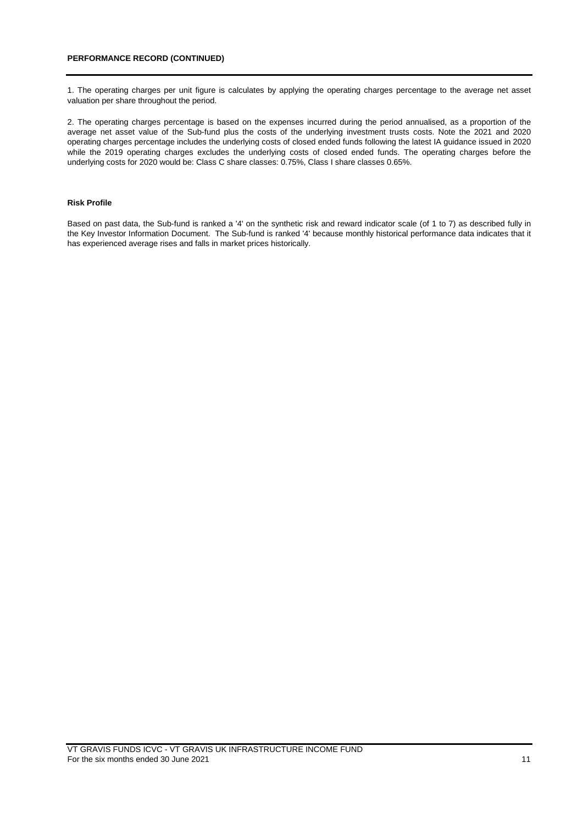1. The operating charges per unit figure is calculates by applying the operating charges percentage to the average net asset valuation per share throughout the period.

2. The operating charges percentage is based on the expenses incurred during the period annualised, as a proportion of the average net asset value of the Sub-fund plus the costs of the underlying investment trusts costs. Note the 2021 and 2020 operating charges percentage includes the underlying costs of closed ended funds following the latest IA guidance issued in 2020 while the 2019 operating charges excludes the underlying costs of closed ended funds. The operating charges before the underlying costs for 2020 would be: Class C share classes: 0.75%, Class I share classes 0.65%.

## **Risk Profile**

Based on past data, the Sub-fund is ranked a '4' on the synthetic risk and reward indicator scale (of 1 to 7) as described fully in the Key Investor Information Document. The Sub-fund is ranked '4' because monthly historical performance data indicates that it has experienced average rises and falls in market prices historically.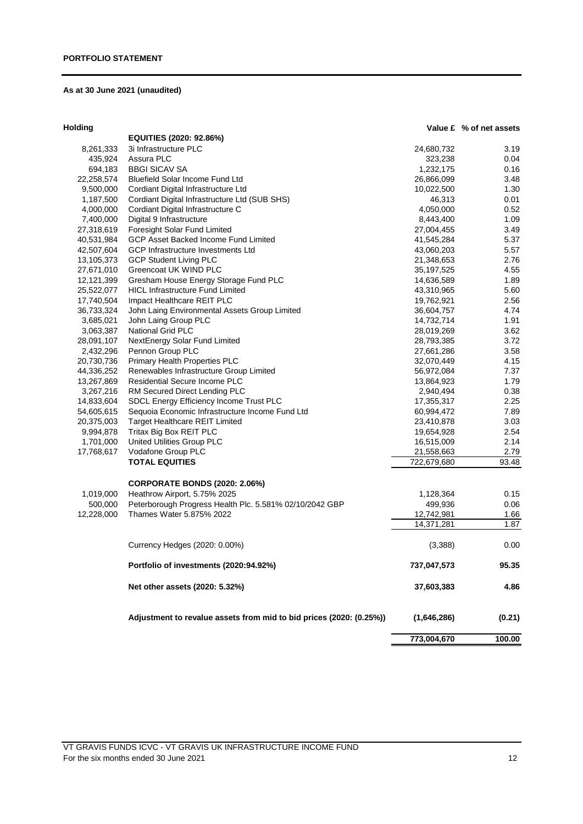# **As at 30 June 2021 (unaudited)**

## **Holding**

| plding     |                                                                     |              | Value £ % of net assets |
|------------|---------------------------------------------------------------------|--------------|-------------------------|
|            | EQUITIES (2020: 92.86%)                                             |              |                         |
| 8,261,333  | 3i Infrastructure PLC                                               | 24,680,732   | 3.19                    |
| 435,924    | Assura PLC                                                          | 323,238      | 0.04                    |
| 694,183    | <b>BBGI SICAV SA</b>                                                | 1,232,175    | 0.16                    |
| 22,258,574 | <b>Bluefield Solar Income Fund Ltd</b>                              | 26,866,099   | 3.48                    |
| 9,500,000  | Cordiant Digital Infrastructure Ltd                                 | 10,022,500   | 1.30                    |
| 1,187,500  | Cordiant Digital Infrastructure Ltd (SUB SHS)                       | 46,313       | 0.01                    |
| 4,000,000  | Cordiant Digital Infrastructure C                                   | 4,050,000    | 0.52                    |
| 7,400,000  | Digital 9 Infrastructure                                            | 8,443,400    | 1.09                    |
| 27,318,619 | Foresight Solar Fund Limited                                        | 27,004,455   | 3.49                    |
| 40,531,984 | GCP Asset Backed Income Fund Limited                                | 41,545,284   | 5.37                    |
| 42,507,604 | GCP Infrastructure Investments Ltd                                  | 43,060,203   | 5.57                    |
| 13,105,373 | <b>GCP Student Living PLC</b>                                       | 21,348,653   | 2.76                    |
| 27,671,010 | Greencoat UK WIND PLC                                               | 35, 197, 525 | 4.55                    |
| 12,121,399 | Gresham House Energy Storage Fund PLC                               | 14,636,589   | 1.89                    |
| 25,522,077 | <b>HICL Infrastructure Fund Limited</b>                             | 43,310,965   | 5.60                    |
| 17,740,504 | Impact Healthcare REIT PLC                                          | 19,762,921   | 2.56                    |
| 36,733,324 | John Laing Environmental Assets Group Limited                       | 36,604,757   | 4.74                    |
| 3,685,021  | John Laing Group PLC                                                | 14,732,714   | 1.91                    |
| 3,063,387  | <b>National Grid PLC</b>                                            | 28,019,269   | 3.62                    |
| 28,091,107 |                                                                     | 28,793,385   | 3.72                    |
| 2,432,296  | NextEnergy Solar Fund Limited<br>Pennon Group PLC                   | 27,661,286   | 3.58                    |
| 20,730,736 | Primary Health Properties PLC                                       | 32,070,449   | 4.15                    |
|            | Renewables Infrastructure Group Limited                             | 56,972,084   | 7.37                    |
| 44,336,252 | Residential Secure Income PLC                                       |              |                         |
| 13,267,869 |                                                                     | 13,864,923   | 1.79                    |
| 3,267,216  | RM Secured Direct Lending PLC                                       | 2,940,494    | 0.38                    |
| 14,833,604 | SDCL Energy Efficiency Income Trust PLC                             | 17,355,317   | 2.25                    |
| 54,605,615 | Sequoia Economic Infrastructure Income Fund Ltd                     | 60,994,472   | 7.89                    |
| 20,375,003 | <b>Target Healthcare REIT Limited</b>                               | 23,410,878   | 3.03                    |
| 9,994,878  | Tritax Big Box REIT PLC                                             | 19,654,928   | 2.54                    |
| 1,701,000  | United Utilities Group PLC                                          | 16,515,009   | 2.14                    |
| 17,768,617 | Vodafone Group PLC                                                  | 21,558,663   | 2.79                    |
|            | <b>TOTAL EQUITIES</b>                                               | 722,679,680  | 93.48                   |
|            | <b>CORPORATE BONDS (2020: 2.06%)</b>                                |              |                         |
| 1,019,000  | Heathrow Airport, 5.75% 2025                                        | 1,128,364    | 0.15                    |
| 500,000    | Peterborough Progress Health Plc. 5.581% 02/10/2042 GBP             | 499,936      | 0.06                    |
| 12,228,000 | Thames Water 5.875% 2022                                            | 12,742,981   | 1.66                    |
|            |                                                                     | 14,371,281   | 1.87                    |
|            | Currency Hedges (2020: 0.00%)                                       | (3,388)      | 0.00                    |
|            | Portfolio of investments (2020:94.92%)                              | 737,047,573  | 95.35                   |
|            | Net other assets (2020: 5.32%)                                      | 37,603,383   | 4.86                    |
|            | Adjustment to revalue assets from mid to bid prices (2020: (0.25%)) | (1,646,286)  | (0.21)                  |
|            |                                                                     | 773,004,670  | 100.00                  |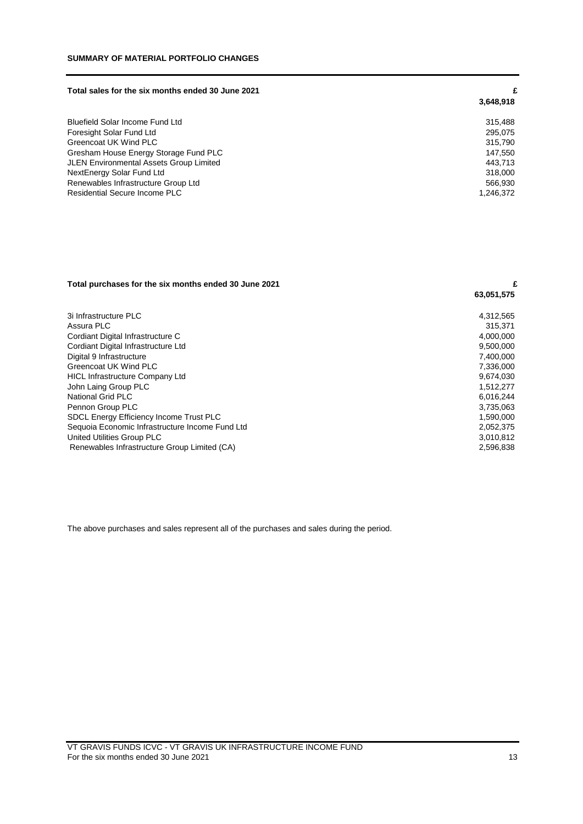#### **Total sales for the six months ended 30 June 2021 £**

|                                         | 3,648,918 |
|-----------------------------------------|-----------|
| <b>Bluefield Solar Income Fund Ltd</b>  | 315.488   |
| Foresight Solar Fund Ltd                | 295.075   |
| Greencoat UK Wind PLC                   | 315,790   |
| Gresham House Energy Storage Fund PLC   | 147.550   |
| JLEN Environmental Assets Group Limited | 443.713   |
| NextEnergy Solar Fund Ltd               | 318,000   |
| Renewables Infrastructure Group Ltd     | 566.930   |
| Residential Secure Income PLC           | 1,246,372 |

# **Total purchases for the six months ended 30 June 2021 £**

| 3i Infrastructure PLC                           | 4,312,565 |
|-------------------------------------------------|-----------|
| Assura PLC                                      | 315.371   |
| Cordiant Digital Infrastructure C               | 4,000,000 |
| Cordiant Digital Infrastructure Ltd             | 9,500,000 |
| Digital 9 Infrastructure                        | 7,400,000 |
| Greencoat UK Wind PLC                           | 7,336,000 |
| <b>HICL Infrastructure Company Ltd</b>          | 9,674,030 |
| John Laing Group PLC                            | 1,512,277 |
| National Grid PLC                               | 6.016.244 |
| Pennon Group PLC                                | 3,735,063 |
| <b>SDCL Energy Efficiency Income Trust PLC</b>  | 1.590.000 |
| Sequoia Economic Infrastructure Income Fund Ltd | 2,052,375 |
| United Utilities Group PLC                      | 3.010.812 |
| Renewables Infrastructure Group Limited (CA)    | 2,596,838 |
|                                                 |           |

The above purchases and sales represent all of the purchases and sales during the period.

 **63,051,575**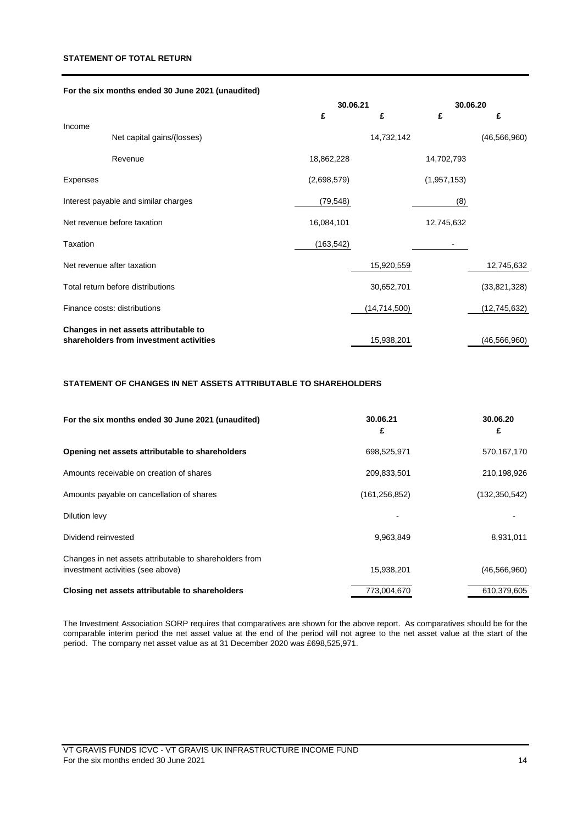## **STATEMENT OF TOTAL RETURN**

## **For the six months ended 30 June 2021 (unaudited)**

|                                      |                                         |             | 30.06.21       |             | 30.06.20       |  |
|--------------------------------------|-----------------------------------------|-------------|----------------|-------------|----------------|--|
|                                      |                                         | £           | £              | £           | £              |  |
| Income                               | Net capital gains/(losses)              |             | 14,732,142     |             | (46, 566, 960) |  |
|                                      | Revenue                                 | 18,862,228  |                | 14,702,793  |                |  |
| Expenses                             |                                         | (2,698,579) |                | (1,957,153) |                |  |
| Interest payable and similar charges |                                         | (79, 548)   |                | (8)         |                |  |
| Net revenue before taxation          |                                         | 16,084,101  |                | 12,745,632  |                |  |
| <b>Taxation</b>                      |                                         | (163, 542)  |                |             |                |  |
| Net revenue after taxation           |                                         |             | 15,920,559     |             | 12,745,632     |  |
| Total return before distributions    |                                         |             | 30,652,701     |             | (33,821,328)   |  |
| Finance costs: distributions         |                                         |             | (14, 714, 500) |             | (12,745,632)   |  |
|                                      | Changes in net assets attributable to   |             |                |             |                |  |
|                                      | shareholders from investment activities |             | 15,938,201     |             | (46, 566, 960) |  |

# **STATEMENT OF CHANGES IN NET ASSETS ATTRIBUTABLE TO SHAREHOLDERS**

| For the six months ended 30 June 2021 (unaudited)                                            | 30.06.21<br>£   | 30.06.20<br>£   |
|----------------------------------------------------------------------------------------------|-----------------|-----------------|
| Opening net assets attributable to shareholders                                              | 698,525,971     | 570,167,170     |
| Amounts receivable on creation of shares                                                     | 209,833,501     | 210,198,926     |
| Amounts payable on cancellation of shares                                                    | (161, 256, 852) | (132, 350, 542) |
| Dilution levy                                                                                |                 |                 |
| Dividend reinvested                                                                          | 9,963,849       | 8,931,011       |
| Changes in net assets attributable to shareholders from<br>investment activities (see above) | 15,938,201      | (46, 566, 960)  |
| Closing net assets attributable to shareholders                                              | 773,004,670     | 610,379,605     |

The Investment Association SORP requires that comparatives are shown for the above report. As comparatives should be for the comparable interim period the net asset value at the end of the period will not agree to the net asset value at the start of the period. The company net asset value as at 31 December 2020 was £698,525,971.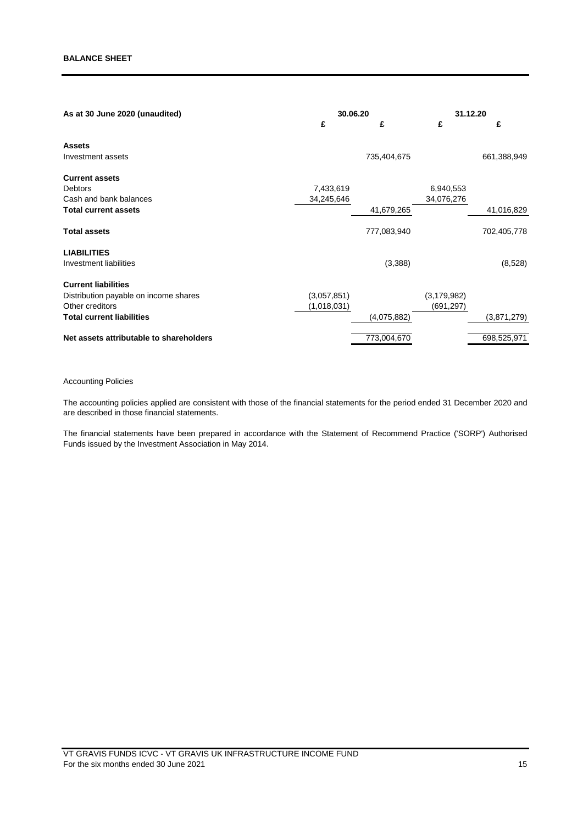| 30.06.20    |             | 31.12.20      |             |
|-------------|-------------|---------------|-------------|
| £           | £           | £             | £           |
|             |             |               |             |
|             | 735,404,675 |               | 661,388,949 |
|             |             |               |             |
| 7,433,619   |             | 6,940,553     |             |
| 34,245,646  |             | 34,076,276    |             |
|             | 41,679,265  |               | 41,016,829  |
|             | 777,083,940 |               | 702,405,778 |
|             |             |               |             |
|             | (3,388)     |               | (8,528)     |
|             |             |               |             |
| (3,057,851) |             | (3, 179, 982) |             |
| (1,018,031) |             | (691, 297)    |             |
|             | (4,075,882) |               | (3,871,279) |
|             | 773,004,670 |               | 698,525,971 |
|             |             |               |             |

## Accounting Policies

The accounting policies applied are consistent with those of the financial statements for the period ended 31 December 2020 and are described in those financial statements.

The financial statements have been prepared in accordance with the Statement of Recommend Practice ('SORP') Authorised Funds issued by the Investment Association in May 2014.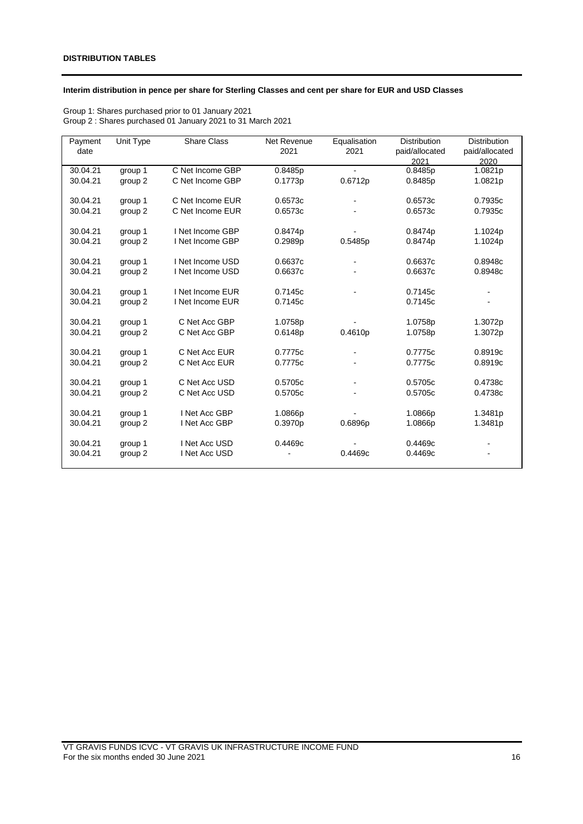## **Interim distribution in pence per share for Sterling Classes and cent per share for EUR and USD Classes**

Group 1: Shares purchased prior to 01 January 2021 Group 2 : Shares purchased 01 January 2021 to 31 March 2021

| Payment  | Unit Type | Share Class      | Net Revenue | Equalisation                 | <b>Distribution</b> | <b>Distribution</b> |
|----------|-----------|------------------|-------------|------------------------------|---------------------|---------------------|
| date     |           |                  | 2021        | 2021                         | paid/allocated      | paid/allocated      |
|          |           |                  |             |                              | 2021                | 2020                |
| 30.04.21 | group 1   | C Net Income GBP | 0.8485p     |                              | 0.8485p             | 1.0821p             |
| 30.04.21 | group 2   | C Net Income GBP | 0.1773p     | 0.6712p                      | 0.8485p             | 1.0821p             |
|          |           |                  |             |                              |                     |                     |
| 30.04.21 | group 1   | C Net Income EUR | 0.6573c     | $\blacksquare$               | 0.6573c             | 0.7935c             |
| 30.04.21 | group 2   | C Net Income EUR | 0.6573c     |                              | 0.6573c             | 0.7935c             |
|          |           |                  |             |                              |                     |                     |
| 30.04.21 | group 1   | I Net Income GBP | 0.8474p     |                              | 0.8474p             | 1.1024p             |
| 30.04.21 | group 2   | I Net Income GBP | 0.2989p     | 0.5485p                      | 0.8474p             | 1.1024p             |
|          |           |                  |             |                              |                     |                     |
| 30.04.21 | group 1   | I Net Income USD | 0.6637c     | $\qquad \qquad \blacksquare$ | 0.6637c             | 0.8948c             |
| 30.04.21 | group 2   | I Net Income USD | 0.6637c     |                              | 0.6637c             | 0.8948c             |
|          |           |                  |             |                              |                     |                     |
| 30.04.21 | group 1   | I Net Income EUR | 0.7145c     |                              | 0.7145c             |                     |
| 30.04.21 | group 2   | I Net Income EUR | 0.7145c     |                              | 0.7145c             |                     |
|          |           |                  |             |                              |                     |                     |
| 30.04.21 | group 1   | C Net Acc GBP    | 1.0758p     |                              | 1.0758p             | 1.3072p             |
| 30.04.21 | group 2   | C Net Acc GBP    | 0.6148p     | 0.4610p                      | 1.0758p             | 1.3072p             |
|          |           |                  |             |                              |                     |                     |
| 30.04.21 | group 1   | C Net Acc EUR    | 0.7775c     |                              | 0.7775c             | 0.8919c             |
| 30.04.21 | group 2   | C Net Acc EUR    | 0.7775c     |                              | 0.7775c             | 0.8919c             |
|          |           |                  |             |                              |                     |                     |
| 30.04.21 | group 1   | C Net Acc USD    | 0.5705c     |                              | 0.5705c             | 0.4738c             |
| 30.04.21 | group 2   | C Net Acc USD    | 0.5705c     |                              | 0.5705c             | 0.4738c             |
|          |           |                  |             |                              |                     |                     |
| 30.04.21 | group 1   | I Net Acc GBP    | 1.0866p     |                              | 1.0866p             | 1.3481p             |
| 30.04.21 | group 2   | I Net Acc GBP    | 0.3970p     | 0.6896p                      | 1.0866p             | 1.3481p             |
|          |           |                  |             |                              |                     |                     |
| 30.04.21 | group 1   | I Net Acc USD    | 0.4469c     |                              | 0.4469c             |                     |
| 30.04.21 | group 2   | I Net Acc USD    |             | 0.4469c                      | 0.4469c             |                     |
|          |           |                  |             |                              |                     |                     |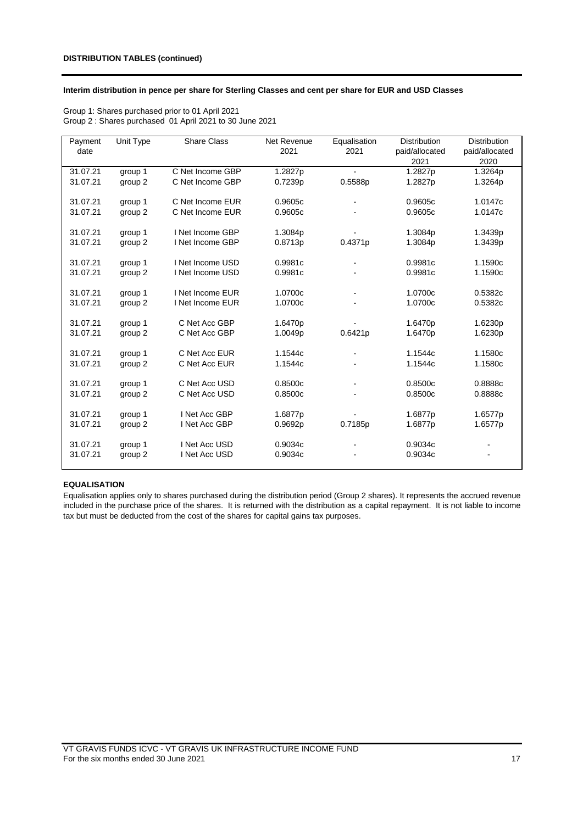## **Interim distribution in pence per share for Sterling Classes and cent per share for EUR and USD Classes**

| Group 1: Shares purchased prior to 01 April 2021        |
|---------------------------------------------------------|
| Group 2: Shares purchased 01 April 2021 to 30 June 2021 |

| Payment  | Unit Type | Share Class      | Net Revenue | Equalisation                 | <b>Distribution</b> | <b>Distribution</b> |
|----------|-----------|------------------|-------------|------------------------------|---------------------|---------------------|
| date     |           |                  | 2021        | 2021                         | paid/allocated      | paid/allocated      |
|          |           |                  |             |                              | 2021                | 2020                |
| 31.07.21 | group 1   | C Net Income GBP | 1.2827p     | $\overline{\phantom{a}}$     | 1.2827p             | 1.3264p             |
| 31.07.21 | group 2   | C Net Income GBP | 0.7239p     | 0.5588p                      | 1.2827p             | 1.3264p             |
|          |           |                  |             |                              |                     |                     |
| 31.07.21 | group 1   | C Net Income EUR | 0.9605c     | $\qquad \qquad \blacksquare$ | 0.9605c             | 1.0147c             |
| 31.07.21 | group 2   | C Net Income EUR | 0.9605c     |                              | 0.9605c             | 1.0147c             |
|          |           |                  |             |                              |                     |                     |
| 31.07.21 | group 1   | I Net Income GBP | 1.3084p     |                              | 1.3084p             | 1.3439p             |
| 31.07.21 | group 2   | I Net Income GBP | 0.8713p     | 0.4371p                      | 1.3084p             | 1.3439p             |
|          |           |                  |             |                              |                     |                     |
| 31.07.21 | group 1   | I Net Income USD | 0.9981c     | $\overline{\phantom{a}}$     | 0.9981c             | 1.1590c             |
| 31.07.21 | group 2   | I Net Income USD | 0.9981c     |                              | 0.9981c             | 1.1590c             |
|          |           |                  |             |                              |                     |                     |
| 31.07.21 | group 1   | I Net Income EUR | 1.0700c     | $\qquad \qquad \blacksquare$ | 1.0700c             | 0.5382c             |
| 31.07.21 | group 2   | I Net Income EUR | 1.0700c     |                              | 1.0700c             | 0.5382c             |
|          |           |                  |             |                              |                     |                     |
| 31.07.21 | group 1   | C Net Acc GBP    | 1.6470p     |                              | 1.6470p             | 1.6230p             |
| 31.07.21 | group 2   | C Net Acc GBP    | 1.0049p     | 0.6421p                      | 1.6470p             | 1.6230p             |
| 31.07.21 | group 1   | C Net Acc EUR    | 1.1544c     |                              | 1.1544c             | 1.1580c             |
| 31.07.21 | group 2   | C Net Acc EUR    | 1.1544c     |                              | 1.1544c             | 1.1580c             |
|          |           |                  |             |                              |                     |                     |
| 31.07.21 | group 1   | C Net Acc USD    | 0.8500c     |                              | 0.8500c             | 0.8888c             |
| 31.07.21 | group 2   | C Net Acc USD    | 0.8500c     |                              | 0.8500c             | 0.8888c             |
|          |           |                  |             |                              |                     |                     |
| 31.07.21 | group 1   | I Net Acc GBP    | 1.6877p     |                              | 1.6877p             | 1.6577p             |
| 31.07.21 | group 2   | I Net Acc GBP    | 0.9692p     | 0.7185p                      | 1.6877p             | 1.6577p             |
|          |           |                  |             |                              |                     |                     |
| 31.07.21 | group 1   | I Net Acc USD    | 0.9034c     |                              | 0.9034c             |                     |
| 31.07.21 | group 2   | I Net Acc USD    | 0.9034c     |                              | 0.9034c             |                     |
|          |           |                  |             |                              |                     |                     |

#### **EQUALISATION**

Equalisation applies only to shares purchased during the distribution period (Group 2 shares). It represents the accrued revenue included in the purchase price of the shares. It is returned with the distribution as a capital repayment. It is not liable to income tax but must be deducted from the cost of the shares for capital gains tax purposes.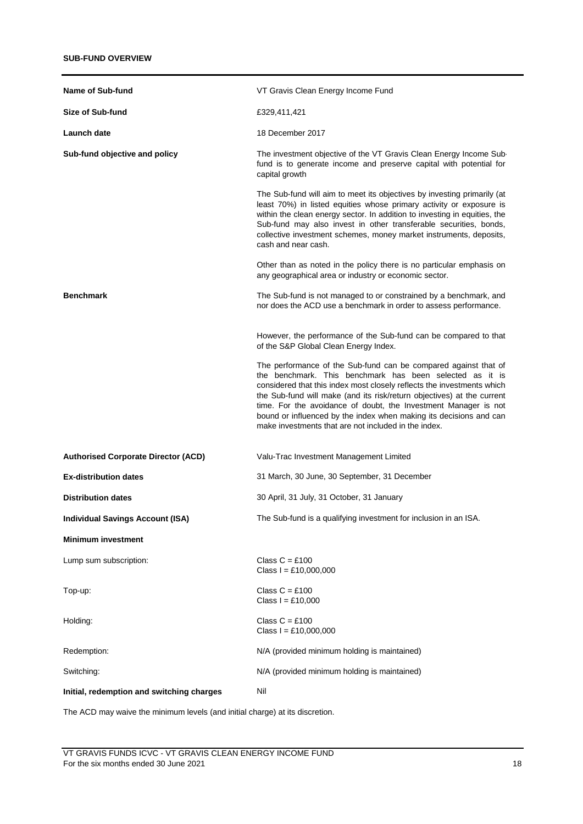| Name of Sub-fund                           | VT Gravis Clean Energy Income Fund                                                                                                                                                                                                                                                                                                                                                                                                                                               |
|--------------------------------------------|----------------------------------------------------------------------------------------------------------------------------------------------------------------------------------------------------------------------------------------------------------------------------------------------------------------------------------------------------------------------------------------------------------------------------------------------------------------------------------|
| Size of Sub-fund                           | £329,411,421                                                                                                                                                                                                                                                                                                                                                                                                                                                                     |
| Launch date                                | 18 December 2017                                                                                                                                                                                                                                                                                                                                                                                                                                                                 |
| Sub-fund objective and policy              | The investment objective of the VT Gravis Clean Energy Income Sub-<br>fund is to generate income and preserve capital with potential for<br>capital growth                                                                                                                                                                                                                                                                                                                       |
|                                            | The Sub-fund will aim to meet its objectives by investing primarily (at<br>least 70%) in listed equities whose primary activity or exposure is<br>within the clean energy sector. In addition to investing in equities, the<br>Sub-fund may also invest in other transferable securities, bonds,<br>collective investment schemes, money market instruments, deposits,<br>cash and near cash.                                                                                    |
|                                            | Other than as noted in the policy there is no particular emphasis on<br>any geographical area or industry or economic sector.                                                                                                                                                                                                                                                                                                                                                    |
| <b>Benchmark</b>                           | The Sub-fund is not managed to or constrained by a benchmark, and<br>nor does the ACD use a benchmark in order to assess performance.                                                                                                                                                                                                                                                                                                                                            |
|                                            | However, the performance of the Sub-fund can be compared to that<br>of the S&P Global Clean Energy Index.                                                                                                                                                                                                                                                                                                                                                                        |
|                                            | The performance of the Sub-fund can be compared against that of<br>the benchmark. This benchmark has been selected as it is<br>considered that this index most closely reflects the investments which<br>the Sub-fund will make (and its risk/return objectives) at the current<br>time. For the avoidance of doubt, the Investment Manager is not<br>bound or influenced by the index when making its decisions and can<br>make investments that are not included in the index. |
| <b>Authorised Corporate Director (ACD)</b> | Valu-Trac Investment Management Limited                                                                                                                                                                                                                                                                                                                                                                                                                                          |
| <b>Ex-distribution dates</b>               | 31 March, 30 June, 30 September, 31 December                                                                                                                                                                                                                                                                                                                                                                                                                                     |
| <b>Distribution dates</b>                  | 30 April, 31 July, 31 October, 31 January                                                                                                                                                                                                                                                                                                                                                                                                                                        |
| <b>Individual Savings Account (ISA)</b>    | The Sub-fund is a qualifying investment for inclusion in an ISA                                                                                                                                                                                                                                                                                                                                                                                                                  |
| <b>Minimum investment</b>                  |                                                                                                                                                                                                                                                                                                                                                                                                                                                                                  |
| Lump sum subscription:                     | Class $C = £100$<br>Class $I = £10,000,000$                                                                                                                                                                                                                                                                                                                                                                                                                                      |
| Top-up:                                    | Class $C = £100$<br>Class $I = £10,000$                                                                                                                                                                                                                                                                                                                                                                                                                                          |
| Holding:                                   | Class $C = £100$<br>Class $I = £10,000,000$                                                                                                                                                                                                                                                                                                                                                                                                                                      |
| Redemption:                                | N/A (provided minimum holding is maintained)                                                                                                                                                                                                                                                                                                                                                                                                                                     |
| Switching:                                 | N/A (provided minimum holding is maintained)                                                                                                                                                                                                                                                                                                                                                                                                                                     |
| Initial, redemption and switching charges  | Nil                                                                                                                                                                                                                                                                                                                                                                                                                                                                              |

The ACD may waive the minimum levels (and initial charge) at its discretion.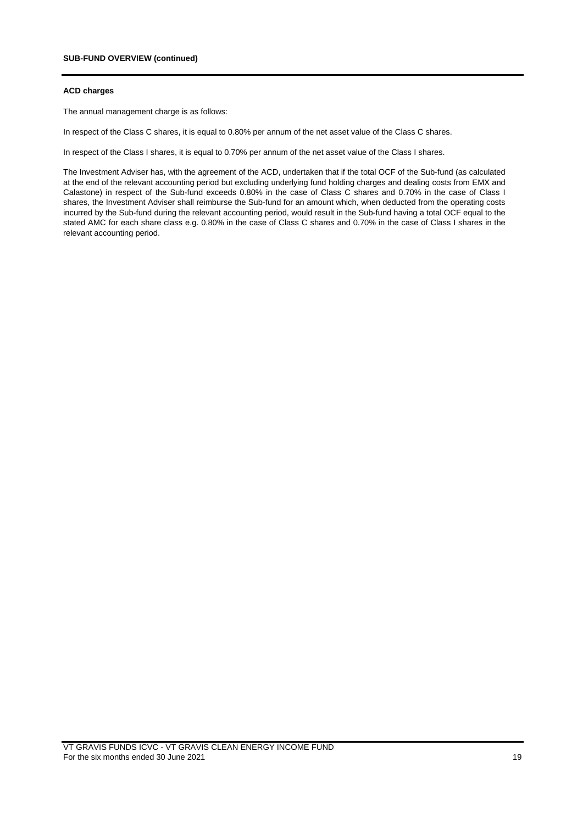#### **ACD charges**

The annual management charge is as follows:

In respect of the Class C shares, it is equal to 0.80% per annum of the net asset value of the Class C shares.

In respect of the Class I shares, it is equal to 0.70% per annum of the net asset value of the Class I shares.

The Investment Adviser has, with the agreement of the ACD, undertaken that if the total OCF of the Sub-fund (as calculated at the end of the relevant accounting period but excluding underlying fund holding charges and dealing costs from EMX and Calastone) in respect of the Sub-fund exceeds 0.80% in the case of Class C shares and 0.70% in the case of Class I shares, the Investment Adviser shall reimburse the Sub-fund for an amount which, when deducted from the operating costs incurred by the Sub-fund during the relevant accounting period, would result in the Sub-fund having a total OCF equal to the stated AMC for each share class e.g. 0.80% in the case of Class C shares and 0.70% in the case of Class I shares in the relevant accounting period.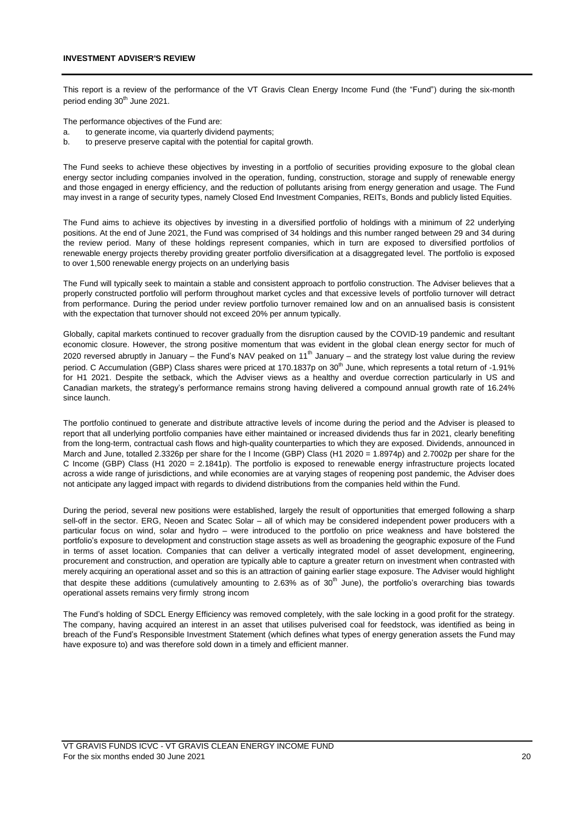This report is a review of the performance of the VT Gravis Clean Energy Income Fund (the "Fund") during the six-month period ending 30<sup>th</sup> June 2021.

The performance objectives of the Fund are:

- a. to generate income, via quarterly dividend payments;
- b. to preserve preserve capital with the potential for capital growth.

The Fund seeks to achieve these objectives by investing in a portfolio of securities providing exposure to the global clean energy sector including companies involved in the operation, funding, construction, storage and supply of renewable energy and those engaged in energy efficiency, and the reduction of pollutants arising from energy generation and usage. The Fund may invest in a range of security types, namely Closed End Investment Companies, REITs, Bonds and publicly listed Equities.

The Fund aims to achieve its objectives by investing in a diversified portfolio of holdings with a minimum of 22 underlying positions. At the end of June 2021, the Fund was comprised of 34 holdings and this number ranged between 29 and 34 during the review period. Many of these holdings represent companies, which in turn are exposed to diversified portfolios of renewable energy projects thereby providing greater portfolio diversification at a disaggregated level. The portfolio is exposed to over 1,500 renewable energy projects on an underlying basis

The Fund will typically seek to maintain a stable and consistent approach to portfolio construction. The Adviser believes that a properly constructed portfolio will perform throughout market cycles and that excessive levels of portfolio turnover will detract from performance. During the period under review portfolio turnover remained low and on an annualised basis is consistent with the expectation that turnover should not exceed 20% per annum typically.

Globally, capital markets continued to recover gradually from the disruption caused by the COVID-19 pandemic and resultant economic closure. However, the strong positive momentum that was evident in the global clean energy sector for much of 2020 reversed abruptly in January – the Fund's NAV peaked on 11<sup>th</sup> January – and the strategy lost value during the review period. C Accumulation (GBP) Class shares were priced at 170.1837p on 30<sup>th</sup> June, which represents a total return of -1.91% for H1 2021. Despite the setback, which the Adviser views as a healthy and overdue correction particularly in US and Canadian markets, the strategy's performance remains strong having delivered a compound annual growth rate of 16.24% since launch.

The portfolio continued to generate and distribute attractive levels of income during the period and the Adviser is pleased to report that all underlying portfolio companies have either maintained or increased dividends thus far in 2021, clearly benefiting from the long-term, contractual cash flows and high-quality counterparties to which they are exposed. Dividends, announced in March and June, totalled 2.3326p per share for the I Income (GBP) Class (H1 2020 = 1.8974p) and 2.7002p per share for the C Income (GBP) Class (H1 2020 = 2.1841p). The portfolio is exposed to renewable energy infrastructure projects located across a wide range of jurisdictions, and while economies are at varying stages of reopening post pandemic, the Adviser does not anticipate any lagged impact with regards to dividend distributions from the companies held within the Fund.

During the period, several new positions were established, largely the result of opportunities that emerged following a sharp sell-off in the sector. ERG, Neoen and Scatec Solar – all of which may be considered independent power producers with a particular focus on wind, solar and hydro – were introduced to the portfolio on price weakness and have bolstered the portfolio's exposure to development and construction stage assets as well as broadening the geographic exposure of the Fund in terms of asset location. Companies that can deliver a vertically integrated model of asset development, engineering, procurement and construction, and operation are typically able to capture a greater return on investment when contrasted with merely acquiring an operational asset and so this is an attraction of gaining earlier stage exposure. The Adviser would highlight that despite these additions (cumulatively amounting to 2.63% as of  $30<sup>th</sup>$  June), the portfolio's overarching bias towards operational assets remains very firmly strong incom

The Fund's holding of SDCL Energy Efficiency was removed completely, with the sale locking in a good profit for the strategy. The company, having acquired an interest in an asset that utilises pulverised coal for feedstock, was identified as being in breach of the Fund's Responsible Investment Statement (which defines what types of energy generation assets the Fund may have exposure to) and was therefore sold down in a timely and efficient manner.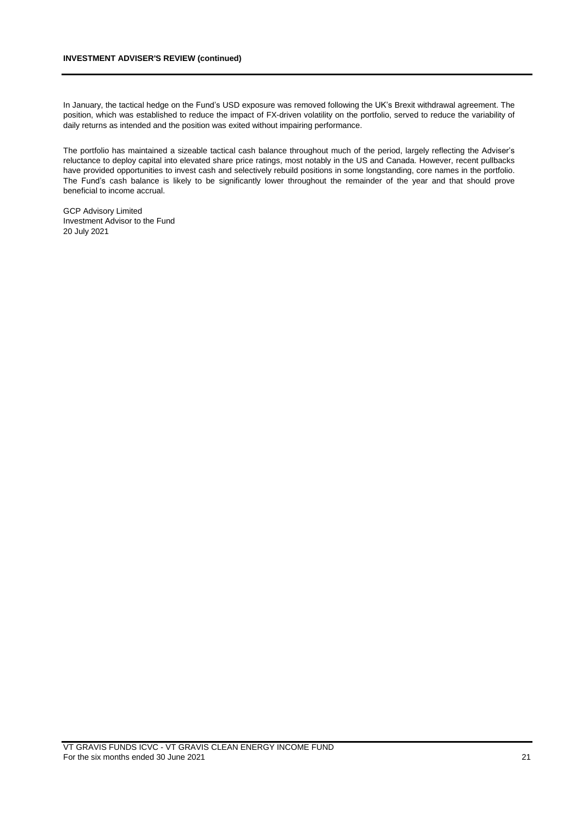## **INVESTMENT ADVISER'S REVIEW (continued)**

In January, the tactical hedge on the Fund's USD exposure was removed following the UK's Brexit withdrawal agreement. The position, which was established to reduce the impact of FX-driven volatility on the portfolio, served to reduce the variability of daily returns as intended and the position was exited without impairing performance.

The portfolio has maintained a sizeable tactical cash balance throughout much of the period, largely reflecting the Adviser's reluctance to deploy capital into elevated share price ratings, most notably in the US and Canada. However, recent pullbacks have provided opportunities to invest cash and selectively rebuild positions in some longstanding, core names in the portfolio. The Fund's cash balance is likely to be significantly lower throughout the remainder of the year and that should prove beneficial to income accrual.

GCP Advisory Limited Investment Advisor to the Fund 20 July 2021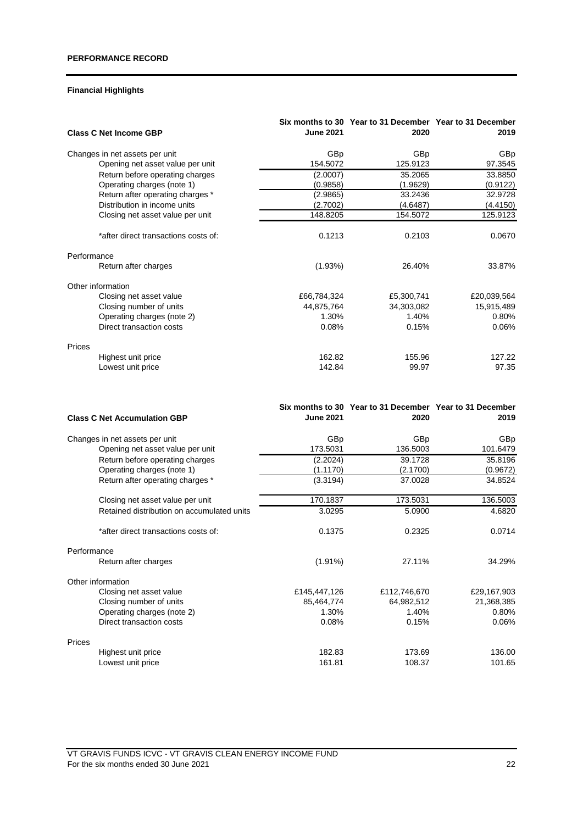# **Financial Highlights**

| <b>Class C Net Income GBP</b>        | <b>June 2021</b> | Six months to 30 Year to 31 December Year to 31 December<br>2020 | 2019        |
|--------------------------------------|------------------|------------------------------------------------------------------|-------------|
| Changes in net assets per unit       | GBp              | GBp                                                              | <b>GBp</b>  |
| Opening net asset value per unit     | 154.5072         | 125.9123                                                         | 97.3545     |
| Return before operating charges      | (2.0007)         | 35.2065                                                          | 33.8850     |
| Operating charges (note 1)           | (0.9858)         | (1.9629)                                                         | (0.9122)    |
| Return after operating charges *     | (2.9865)         | 33.2436                                                          | 32.9728     |
| Distribution in income units         | (2.7002)         | (4.6487)                                                         | (4.4150)    |
| Closing net asset value per unit     | 148.8205         | 154.5072                                                         | 125.9123    |
| *after direct transactions costs of: | 0.1213           | 0.2103                                                           | 0.0670      |
| Performance                          |                  |                                                                  |             |
| Return after charges                 | (1.93%)          | 26.40%                                                           | 33.87%      |
| Other information                    |                  |                                                                  |             |
| Closing net asset value              | £66,784,324      | £5,300,741                                                       | £20,039,564 |
| Closing number of units              | 44,875,764       | 34,303,082                                                       | 15,915,489  |
| Operating charges (note 2)           | 1.30%            | 1.40%                                                            | 0.80%       |
| Direct transaction costs             | 0.08%            | 0.15%                                                            | 0.06%       |
| Prices                               |                  |                                                                  |             |
| Highest unit price                   | 162.82           | 155.96                                                           | 127.22      |
| Lowest unit price                    | 142.84           | 99.97                                                            | 97.35       |

| <b>Class C Net Accumulation GBP</b>        | <b>June 2021</b> | Six months to 30 Year to 31 December Year to 31 December<br>2020 | 2019        |
|--------------------------------------------|------------------|------------------------------------------------------------------|-------------|
| Changes in net assets per unit             | GBp              | <b>GBp</b>                                                       | GBp         |
| Opening net asset value per unit           | 173.5031         | 136.5003                                                         | 101.6479    |
| Return before operating charges            | (2.2024)         | 39.1728                                                          | 35.8196     |
| Operating charges (note 1)                 | (1.1170)         | (2.1700)                                                         | (0.9672)    |
| Return after operating charges *           | (3.3194)         | 37.0028                                                          | 34.8524     |
| Closing net asset value per unit           | 170.1837         | 173.5031                                                         | 136.5003    |
| Retained distribution on accumulated units | 3.0295           | 5.0900                                                           | 4.6820      |
| *after direct transactions costs of:       | 0.1375           | 0.2325                                                           | 0.0714      |
| Performance                                |                  |                                                                  |             |
| Return after charges                       | $(1.91\%)$       | 27.11%                                                           | 34.29%      |
| Other information                          |                  |                                                                  |             |
| Closing net asset value                    | £145,447,126     | £112,746,670                                                     | £29,167,903 |
| Closing number of units                    | 85,464,774       | 64,982,512                                                       | 21,368,385  |
| Operating charges (note 2)                 | 1.30%            | 1.40%                                                            | 0.80%       |
| Direct transaction costs                   | 0.08%            | 0.15%                                                            | 0.06%       |
| Prices                                     |                  |                                                                  |             |
| Highest unit price                         | 182.83           | 173.69                                                           | 136.00      |
| Lowest unit price                          | 161.81           | 108.37                                                           | 101.65      |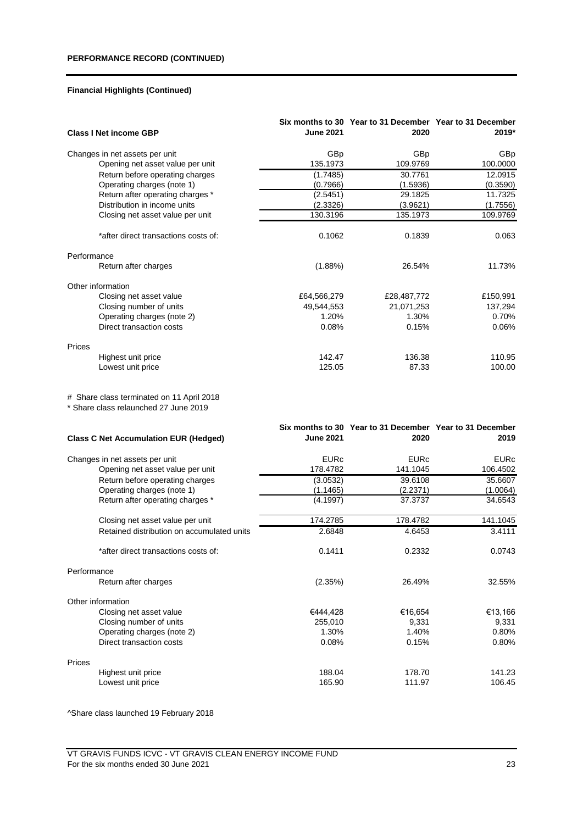| <b>Class I Net income GBP</b><br>GBp<br>GBp<br>GBp<br>Changes in net assets per unit<br>135.1973<br>Opening net asset value per unit<br>109.9769<br>100.0000<br>12.0915<br>Return before operating charges<br>(1.7485)<br>30.7761<br>Operating charges (note 1)<br>(1.5936)<br>(0.3590)<br>(0.7966)<br>29.1825<br>11.7325<br>Return after operating charges *<br>(2.5451)<br>Distribution in income units<br>(2.3326)<br>(1.7556)<br>(3.9621)<br>130.3196<br>135.1973<br>109.9769<br>Closing net asset value per unit<br>0.1062<br>*after direct transactions costs of:<br>0.1839<br>0.063<br>Performance<br>Return after charges<br>(1.88%)<br>26.54%<br>11.73%<br>Other information<br>Closing net asset value<br>£64,566,279<br>£28,487,772<br>£150,991<br>Closing number of units<br>49,544,553<br>21,071,253<br>137,294<br>Operating charges (note 2)<br>1.20%<br>1.30%<br>0.70%<br>Direct transaction costs<br>0.08%<br>0.15%<br>0.06%<br>Prices<br>Highest unit price<br>142.47<br>136.38<br>110.95<br>125.05<br>87.33<br>Lowest unit price<br>100.00<br># Share class terminated on 11 April 2018<br>* Share class relaunched 27 June 2019<br>Six months to 30 Year to 31 December Year to 31 December<br><b>June 2021</b><br>2020<br>2019<br><b>Class C Net Accumulation EUR (Hedged)</b><br><b>EURc</b><br><b>EURc</b><br>Changes in net assets per unit<br><b>EURc</b><br>141.1045<br>106.4502<br>Opening net asset value per unit<br>178.4782<br>Return before operating charges<br>39.6108<br>35.6607<br>(3.0532)<br>Operating charges (note 1)<br>(1.1465)<br>(2.2371)<br>(1.0064)<br>Return after operating charges *<br>(4.1997)<br>37.3737<br>34.6543<br>174.2785<br>178.4782<br>141.1045<br>Closing net asset value per unit<br>Retained distribution on accumulated units<br>2.6848<br>4.6453<br>3.4111<br>0.2332<br>0.1411<br>0.0743<br>*after direct transactions costs of:<br>Performance<br>Return after charges<br>(2.35%)<br>26.49%<br>32.55%<br>Other information<br>Closing net asset value<br>€444,428<br>€16,654<br>€13,166<br>Closing number of units<br>255,010<br>9,331<br>9,331<br>1.30%<br>1.40%<br>0.80%<br>Operating charges (note 2)<br>Direct transaction costs<br>0.08%<br>0.15%<br>0.80%<br>Prices<br>Highest unit price<br>188.04<br>178.70<br>141.23<br>165.90<br>111.97<br>106.45<br>Lowest unit price |  |                  | Six months to 30 Year to 31 December Year to 31 December |       |
|---------------------------------------------------------------------------------------------------------------------------------------------------------------------------------------------------------------------------------------------------------------------------------------------------------------------------------------------------------------------------------------------------------------------------------------------------------------------------------------------------------------------------------------------------------------------------------------------------------------------------------------------------------------------------------------------------------------------------------------------------------------------------------------------------------------------------------------------------------------------------------------------------------------------------------------------------------------------------------------------------------------------------------------------------------------------------------------------------------------------------------------------------------------------------------------------------------------------------------------------------------------------------------------------------------------------------------------------------------------------------------------------------------------------------------------------------------------------------------------------------------------------------------------------------------------------------------------------------------------------------------------------------------------------------------------------------------------------------------------------------------------------------------------------------------------------------------------------------------------------------------------------------------------------------------------------------------------------------------------------------------------------------------------------------------------------------------------------------------------------------------------------------------------------------------------------------------------------------------------------------------------------------------------------------------------------------------------------------|--|------------------|----------------------------------------------------------|-------|
|                                                                                                                                                                                                                                                                                                                                                                                                                                                                                                                                                                                                                                                                                                                                                                                                                                                                                                                                                                                                                                                                                                                                                                                                                                                                                                                                                                                                                                                                                                                                                                                                                                                                                                                                                                                                                                                                                                                                                                                                                                                                                                                                                                                                                                                                                                                                                   |  | <b>June 2021</b> | 2020                                                     | 2019* |
|                                                                                                                                                                                                                                                                                                                                                                                                                                                                                                                                                                                                                                                                                                                                                                                                                                                                                                                                                                                                                                                                                                                                                                                                                                                                                                                                                                                                                                                                                                                                                                                                                                                                                                                                                                                                                                                                                                                                                                                                                                                                                                                                                                                                                                                                                                                                                   |  |                  |                                                          |       |
|                                                                                                                                                                                                                                                                                                                                                                                                                                                                                                                                                                                                                                                                                                                                                                                                                                                                                                                                                                                                                                                                                                                                                                                                                                                                                                                                                                                                                                                                                                                                                                                                                                                                                                                                                                                                                                                                                                                                                                                                                                                                                                                                                                                                                                                                                                                                                   |  |                  |                                                          |       |
|                                                                                                                                                                                                                                                                                                                                                                                                                                                                                                                                                                                                                                                                                                                                                                                                                                                                                                                                                                                                                                                                                                                                                                                                                                                                                                                                                                                                                                                                                                                                                                                                                                                                                                                                                                                                                                                                                                                                                                                                                                                                                                                                                                                                                                                                                                                                                   |  |                  |                                                          |       |
|                                                                                                                                                                                                                                                                                                                                                                                                                                                                                                                                                                                                                                                                                                                                                                                                                                                                                                                                                                                                                                                                                                                                                                                                                                                                                                                                                                                                                                                                                                                                                                                                                                                                                                                                                                                                                                                                                                                                                                                                                                                                                                                                                                                                                                                                                                                                                   |  |                  |                                                          |       |
|                                                                                                                                                                                                                                                                                                                                                                                                                                                                                                                                                                                                                                                                                                                                                                                                                                                                                                                                                                                                                                                                                                                                                                                                                                                                                                                                                                                                                                                                                                                                                                                                                                                                                                                                                                                                                                                                                                                                                                                                                                                                                                                                                                                                                                                                                                                                                   |  |                  |                                                          |       |
|                                                                                                                                                                                                                                                                                                                                                                                                                                                                                                                                                                                                                                                                                                                                                                                                                                                                                                                                                                                                                                                                                                                                                                                                                                                                                                                                                                                                                                                                                                                                                                                                                                                                                                                                                                                                                                                                                                                                                                                                                                                                                                                                                                                                                                                                                                                                                   |  |                  |                                                          |       |
|                                                                                                                                                                                                                                                                                                                                                                                                                                                                                                                                                                                                                                                                                                                                                                                                                                                                                                                                                                                                                                                                                                                                                                                                                                                                                                                                                                                                                                                                                                                                                                                                                                                                                                                                                                                                                                                                                                                                                                                                                                                                                                                                                                                                                                                                                                                                                   |  |                  |                                                          |       |
|                                                                                                                                                                                                                                                                                                                                                                                                                                                                                                                                                                                                                                                                                                                                                                                                                                                                                                                                                                                                                                                                                                                                                                                                                                                                                                                                                                                                                                                                                                                                                                                                                                                                                                                                                                                                                                                                                                                                                                                                                                                                                                                                                                                                                                                                                                                                                   |  |                  |                                                          |       |
|                                                                                                                                                                                                                                                                                                                                                                                                                                                                                                                                                                                                                                                                                                                                                                                                                                                                                                                                                                                                                                                                                                                                                                                                                                                                                                                                                                                                                                                                                                                                                                                                                                                                                                                                                                                                                                                                                                                                                                                                                                                                                                                                                                                                                                                                                                                                                   |  |                  |                                                          |       |
|                                                                                                                                                                                                                                                                                                                                                                                                                                                                                                                                                                                                                                                                                                                                                                                                                                                                                                                                                                                                                                                                                                                                                                                                                                                                                                                                                                                                                                                                                                                                                                                                                                                                                                                                                                                                                                                                                                                                                                                                                                                                                                                                                                                                                                                                                                                                                   |  |                  |                                                          |       |
|                                                                                                                                                                                                                                                                                                                                                                                                                                                                                                                                                                                                                                                                                                                                                                                                                                                                                                                                                                                                                                                                                                                                                                                                                                                                                                                                                                                                                                                                                                                                                                                                                                                                                                                                                                                                                                                                                                                                                                                                                                                                                                                                                                                                                                                                                                                                                   |  |                  |                                                          |       |
|                                                                                                                                                                                                                                                                                                                                                                                                                                                                                                                                                                                                                                                                                                                                                                                                                                                                                                                                                                                                                                                                                                                                                                                                                                                                                                                                                                                                                                                                                                                                                                                                                                                                                                                                                                                                                                                                                                                                                                                                                                                                                                                                                                                                                                                                                                                                                   |  |                  |                                                          |       |
|                                                                                                                                                                                                                                                                                                                                                                                                                                                                                                                                                                                                                                                                                                                                                                                                                                                                                                                                                                                                                                                                                                                                                                                                                                                                                                                                                                                                                                                                                                                                                                                                                                                                                                                                                                                                                                                                                                                                                                                                                                                                                                                                                                                                                                                                                                                                                   |  |                  |                                                          |       |
|                                                                                                                                                                                                                                                                                                                                                                                                                                                                                                                                                                                                                                                                                                                                                                                                                                                                                                                                                                                                                                                                                                                                                                                                                                                                                                                                                                                                                                                                                                                                                                                                                                                                                                                                                                                                                                                                                                                                                                                                                                                                                                                                                                                                                                                                                                                                                   |  |                  |                                                          |       |
|                                                                                                                                                                                                                                                                                                                                                                                                                                                                                                                                                                                                                                                                                                                                                                                                                                                                                                                                                                                                                                                                                                                                                                                                                                                                                                                                                                                                                                                                                                                                                                                                                                                                                                                                                                                                                                                                                                                                                                                                                                                                                                                                                                                                                                                                                                                                                   |  |                  |                                                          |       |
|                                                                                                                                                                                                                                                                                                                                                                                                                                                                                                                                                                                                                                                                                                                                                                                                                                                                                                                                                                                                                                                                                                                                                                                                                                                                                                                                                                                                                                                                                                                                                                                                                                                                                                                                                                                                                                                                                                                                                                                                                                                                                                                                                                                                                                                                                                                                                   |  |                  |                                                          |       |
|                                                                                                                                                                                                                                                                                                                                                                                                                                                                                                                                                                                                                                                                                                                                                                                                                                                                                                                                                                                                                                                                                                                                                                                                                                                                                                                                                                                                                                                                                                                                                                                                                                                                                                                                                                                                                                                                                                                                                                                                                                                                                                                                                                                                                                                                                                                                                   |  |                  |                                                          |       |
|                                                                                                                                                                                                                                                                                                                                                                                                                                                                                                                                                                                                                                                                                                                                                                                                                                                                                                                                                                                                                                                                                                                                                                                                                                                                                                                                                                                                                                                                                                                                                                                                                                                                                                                                                                                                                                                                                                                                                                                                                                                                                                                                                                                                                                                                                                                                                   |  |                  |                                                          |       |
|                                                                                                                                                                                                                                                                                                                                                                                                                                                                                                                                                                                                                                                                                                                                                                                                                                                                                                                                                                                                                                                                                                                                                                                                                                                                                                                                                                                                                                                                                                                                                                                                                                                                                                                                                                                                                                                                                                                                                                                                                                                                                                                                                                                                                                                                                                                                                   |  |                  |                                                          |       |
|                                                                                                                                                                                                                                                                                                                                                                                                                                                                                                                                                                                                                                                                                                                                                                                                                                                                                                                                                                                                                                                                                                                                                                                                                                                                                                                                                                                                                                                                                                                                                                                                                                                                                                                                                                                                                                                                                                                                                                                                                                                                                                                                                                                                                                                                                                                                                   |  |                  |                                                          |       |
|                                                                                                                                                                                                                                                                                                                                                                                                                                                                                                                                                                                                                                                                                                                                                                                                                                                                                                                                                                                                                                                                                                                                                                                                                                                                                                                                                                                                                                                                                                                                                                                                                                                                                                                                                                                                                                                                                                                                                                                                                                                                                                                                                                                                                                                                                                                                                   |  |                  |                                                          |       |
|                                                                                                                                                                                                                                                                                                                                                                                                                                                                                                                                                                                                                                                                                                                                                                                                                                                                                                                                                                                                                                                                                                                                                                                                                                                                                                                                                                                                                                                                                                                                                                                                                                                                                                                                                                                                                                                                                                                                                                                                                                                                                                                                                                                                                                                                                                                                                   |  |                  |                                                          |       |
|                                                                                                                                                                                                                                                                                                                                                                                                                                                                                                                                                                                                                                                                                                                                                                                                                                                                                                                                                                                                                                                                                                                                                                                                                                                                                                                                                                                                                                                                                                                                                                                                                                                                                                                                                                                                                                                                                                                                                                                                                                                                                                                                                                                                                                                                                                                                                   |  |                  |                                                          |       |
|                                                                                                                                                                                                                                                                                                                                                                                                                                                                                                                                                                                                                                                                                                                                                                                                                                                                                                                                                                                                                                                                                                                                                                                                                                                                                                                                                                                                                                                                                                                                                                                                                                                                                                                                                                                                                                                                                                                                                                                                                                                                                                                                                                                                                                                                                                                                                   |  |                  |                                                          |       |
|                                                                                                                                                                                                                                                                                                                                                                                                                                                                                                                                                                                                                                                                                                                                                                                                                                                                                                                                                                                                                                                                                                                                                                                                                                                                                                                                                                                                                                                                                                                                                                                                                                                                                                                                                                                                                                                                                                                                                                                                                                                                                                                                                                                                                                                                                                                                                   |  |                  |                                                          |       |
|                                                                                                                                                                                                                                                                                                                                                                                                                                                                                                                                                                                                                                                                                                                                                                                                                                                                                                                                                                                                                                                                                                                                                                                                                                                                                                                                                                                                                                                                                                                                                                                                                                                                                                                                                                                                                                                                                                                                                                                                                                                                                                                                                                                                                                                                                                                                                   |  |                  |                                                          |       |
|                                                                                                                                                                                                                                                                                                                                                                                                                                                                                                                                                                                                                                                                                                                                                                                                                                                                                                                                                                                                                                                                                                                                                                                                                                                                                                                                                                                                                                                                                                                                                                                                                                                                                                                                                                                                                                                                                                                                                                                                                                                                                                                                                                                                                                                                                                                                                   |  |                  |                                                          |       |
|                                                                                                                                                                                                                                                                                                                                                                                                                                                                                                                                                                                                                                                                                                                                                                                                                                                                                                                                                                                                                                                                                                                                                                                                                                                                                                                                                                                                                                                                                                                                                                                                                                                                                                                                                                                                                                                                                                                                                                                                                                                                                                                                                                                                                                                                                                                                                   |  |                  |                                                          |       |
|                                                                                                                                                                                                                                                                                                                                                                                                                                                                                                                                                                                                                                                                                                                                                                                                                                                                                                                                                                                                                                                                                                                                                                                                                                                                                                                                                                                                                                                                                                                                                                                                                                                                                                                                                                                                                                                                                                                                                                                                                                                                                                                                                                                                                                                                                                                                                   |  |                  |                                                          |       |
|                                                                                                                                                                                                                                                                                                                                                                                                                                                                                                                                                                                                                                                                                                                                                                                                                                                                                                                                                                                                                                                                                                                                                                                                                                                                                                                                                                                                                                                                                                                                                                                                                                                                                                                                                                                                                                                                                                                                                                                                                                                                                                                                                                                                                                                                                                                                                   |  |                  |                                                          |       |
|                                                                                                                                                                                                                                                                                                                                                                                                                                                                                                                                                                                                                                                                                                                                                                                                                                                                                                                                                                                                                                                                                                                                                                                                                                                                                                                                                                                                                                                                                                                                                                                                                                                                                                                                                                                                                                                                                                                                                                                                                                                                                                                                                                                                                                                                                                                                                   |  |                  |                                                          |       |
|                                                                                                                                                                                                                                                                                                                                                                                                                                                                                                                                                                                                                                                                                                                                                                                                                                                                                                                                                                                                                                                                                                                                                                                                                                                                                                                                                                                                                                                                                                                                                                                                                                                                                                                                                                                                                                                                                                                                                                                                                                                                                                                                                                                                                                                                                                                                                   |  |                  |                                                          |       |
|                                                                                                                                                                                                                                                                                                                                                                                                                                                                                                                                                                                                                                                                                                                                                                                                                                                                                                                                                                                                                                                                                                                                                                                                                                                                                                                                                                                                                                                                                                                                                                                                                                                                                                                                                                                                                                                                                                                                                                                                                                                                                                                                                                                                                                                                                                                                                   |  |                  |                                                          |       |
|                                                                                                                                                                                                                                                                                                                                                                                                                                                                                                                                                                                                                                                                                                                                                                                                                                                                                                                                                                                                                                                                                                                                                                                                                                                                                                                                                                                                                                                                                                                                                                                                                                                                                                                                                                                                                                                                                                                                                                                                                                                                                                                                                                                                                                                                                                                                                   |  |                  |                                                          |       |
|                                                                                                                                                                                                                                                                                                                                                                                                                                                                                                                                                                                                                                                                                                                                                                                                                                                                                                                                                                                                                                                                                                                                                                                                                                                                                                                                                                                                                                                                                                                                                                                                                                                                                                                                                                                                                                                                                                                                                                                                                                                                                                                                                                                                                                                                                                                                                   |  |                  |                                                          |       |
|                                                                                                                                                                                                                                                                                                                                                                                                                                                                                                                                                                                                                                                                                                                                                                                                                                                                                                                                                                                                                                                                                                                                                                                                                                                                                                                                                                                                                                                                                                                                                                                                                                                                                                                                                                                                                                                                                                                                                                                                                                                                                                                                                                                                                                                                                                                                                   |  |                  |                                                          |       |
|                                                                                                                                                                                                                                                                                                                                                                                                                                                                                                                                                                                                                                                                                                                                                                                                                                                                                                                                                                                                                                                                                                                                                                                                                                                                                                                                                                                                                                                                                                                                                                                                                                                                                                                                                                                                                                                                                                                                                                                                                                                                                                                                                                                                                                                                                                                                                   |  |                  |                                                          |       |
|                                                                                                                                                                                                                                                                                                                                                                                                                                                                                                                                                                                                                                                                                                                                                                                                                                                                                                                                                                                                                                                                                                                                                                                                                                                                                                                                                                                                                                                                                                                                                                                                                                                                                                                                                                                                                                                                                                                                                                                                                                                                                                                                                                                                                                                                                                                                                   |  |                  |                                                          |       |

^Share class launched 19 February 2018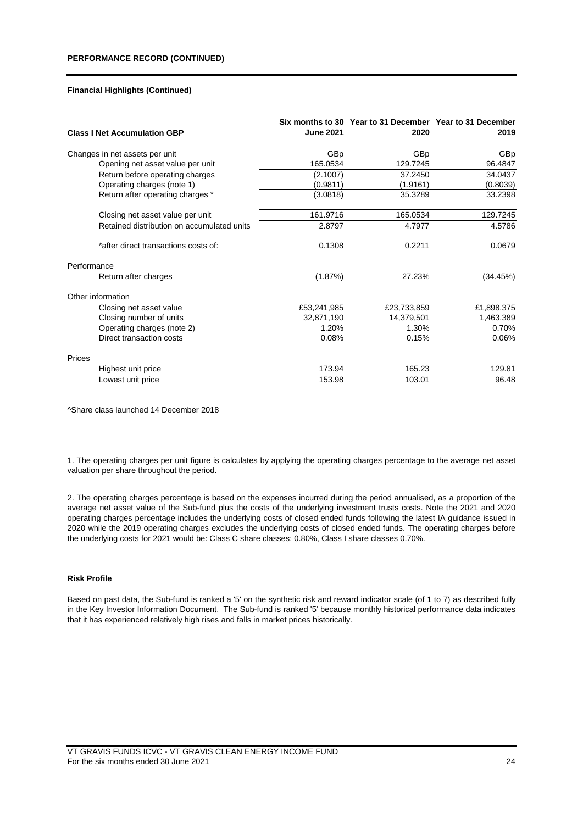| <b>Class I Net Accumulation GBP</b>        | <b>June 2021</b> | Six months to 30 Year to 31 December Year to 31 December<br>2020 | 2019       |
|--------------------------------------------|------------------|------------------------------------------------------------------|------------|
| Changes in net assets per unit             | GBp              | <b>GBp</b>                                                       | GBp        |
| Opening net asset value per unit           | 165.0534         | 129.7245                                                         | 96.4847    |
| Return before operating charges            | (2.1007)         | 37.2450                                                          | 34.0437    |
| Operating charges (note 1)                 | (0.9811)         | (1.9161)                                                         | (0.8039)   |
| Return after operating charges *           | (3.0818)         | 35.3289                                                          | 33.2398    |
| Closing net asset value per unit           | 161.9716         | 165.0534                                                         | 129.7245   |
| Retained distribution on accumulated units | 2.8797           | 4.7977                                                           | 4.5786     |
| *after direct transactions costs of:       | 0.1308           | 0.2211                                                           | 0.0679     |
| Performance                                |                  |                                                                  |            |
| Return after charges                       | (1.87%)          | 27.23%                                                           | (34.45%)   |
| Other information                          |                  |                                                                  |            |
| Closing net asset value                    | £53,241,985      | £23,733,859                                                      | £1,898,375 |
| Closing number of units                    | 32,871,190       | 14,379,501                                                       | 1,463,389  |
| Operating charges (note 2)                 | 1.20%            | 1.30%                                                            | 0.70%      |
| Direct transaction costs                   | 0.08%            | 0.15%                                                            | 0.06%      |
| Prices                                     |                  |                                                                  |            |
| Highest unit price                         | 173.94           | 165.23                                                           | 129.81     |
| Lowest unit price                          | 153.98           | 103.01                                                           | 96.48      |

^Share class launched 14 December 2018

1. The operating charges per unit figure is calculates by applying the operating charges percentage to the average net asset valuation per share throughout the period.

2. The operating charges percentage is based on the expenses incurred during the period annualised, as a proportion of the average net asset value of the Sub-fund plus the costs of the underlying investment trusts costs. Note the 2021 and 2020 operating charges percentage includes the underlying costs of closed ended funds following the latest IA guidance issued in 2020 while the 2019 operating charges excludes the underlying costs of closed ended funds. The operating charges before the underlying costs for 2021 would be: Class C share classes: 0.80%, Class I share classes 0.70%.

#### **Risk Profile**

Based on past data, the Sub-fund is ranked a '5' on the synthetic risk and reward indicator scale (of 1 to 7) as described fully in the Key Investor Information Document. The Sub-fund is ranked '5' because monthly historical performance data indicates that it has experienced relatively high rises and falls in market prices historically.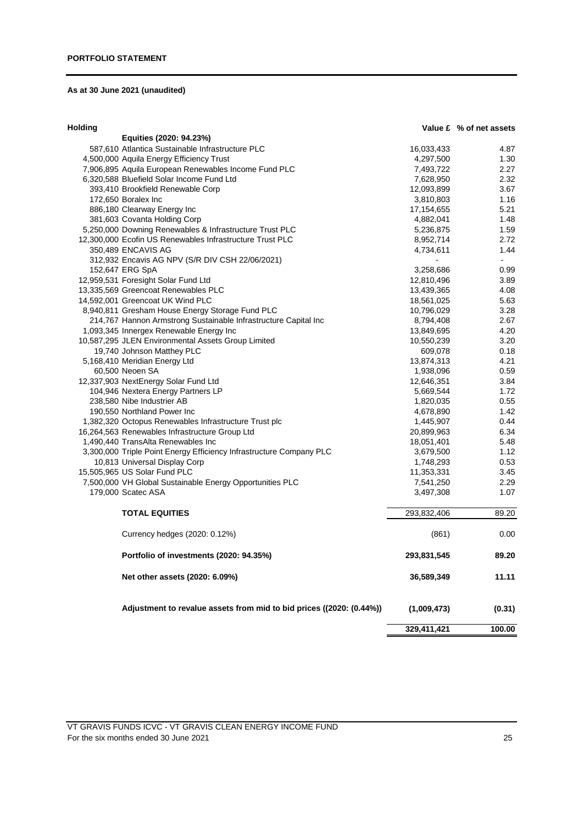# **As at 30 June 2021 (unaudited)**

| <b>Holding</b> |  |  |
|----------------|--|--|
|----------------|--|--|

| lolding |                                                                      |             | Value £ % of net assets |
|---------|----------------------------------------------------------------------|-------------|-------------------------|
|         | Equities (2020: 94.23%)                                              |             |                         |
|         | 587,610 Atlantica Sustainable Infrastructure PLC                     | 16,033,433  | 4.87                    |
|         | 4,500,000 Aquila Energy Efficiency Trust                             | 4,297,500   | 1.30                    |
|         | 7,906,895 Aquila European Renewables Income Fund PLC                 | 7,493,722   | 2.27                    |
|         | 6,320,588 Bluefield Solar Income Fund Ltd                            | 7,628,950   | 2.32                    |
|         | 393,410 Brookfield Renewable Corp                                    | 12,093,899  | 3.67                    |
|         | 172,650 Boralex Inc                                                  | 3,810,803   | 1.16                    |
|         | 886,180 Clearway Energy Inc                                          | 17,154,655  | 5.21                    |
|         | 381,603 Covanta Holding Corp                                         | 4,882,041   | 1.48                    |
|         | 5,250,000 Downing Renewables & Infrastructure Trust PLC              | 5,236,875   | 1.59                    |
|         | 12,300,000 Ecofin US Renewables Infrastructure Trust PLC             | 8,952,714   | 2.72                    |
|         | 350,489 ENCAVIS AG                                                   | 4,734,611   | 1.44                    |
|         | 312,932 Encavis AG NPV (S/R DIV CSH 22/06/2021)                      |             | ÷,                      |
|         | 152,647 ERG SpA                                                      | 3,258,686   | 0.99                    |
|         | 12,959,531 Foresight Solar Fund Ltd                                  | 12,810,496  | 3.89                    |
|         | 13,335,569 Greencoat Renewables PLC                                  | 13,439,365  | 4.08                    |
|         | 14,592,001 Greencoat UK Wind PLC                                     | 18,561,025  | 5.63                    |
|         | 8,940,811 Gresham House Energy Storage Fund PLC                      | 10,796,029  | 3.28                    |
|         | 214,767 Hannon Armstrong Sustainable Infrastructure Capital Inc      | 8,794,408   | 2.67                    |
|         | 1,093,345 Innergex Renewable Energy Inc                              | 13,849,695  | 4.20                    |
|         | 10,587,295 JLEN Environmental Assets Group Limited                   | 10,550,239  | 3.20                    |
|         | 19,740 Johnson Matthey PLC                                           | 609,078     | 0.18                    |
|         | 5,168,410 Meridian Energy Ltd                                        | 13,874,313  | 4.21                    |
|         | 60,500 Neoen SA                                                      | 1,938,096   | 0.59                    |
|         | 12,337,903 NextEnergy Solar Fund Ltd                                 | 12,646,351  | 3.84                    |
|         | 104,946 Nextera Energy Partners LP                                   | 5,669,544   | 1.72                    |
|         | 238,580 Nibe Industrier AB                                           | 1,820,035   | 0.55                    |
|         | 190,550 Northland Power Inc                                          | 4,678,890   | 1.42                    |
|         | 1,382,320 Octopus Renewables Infrastructure Trust plc                | 1,445,907   | 0.44                    |
|         | 16,264,563 Renewables Infrastructure Group Ltd                       | 20,899,963  | 6.34                    |
|         | 1,490,440 TransAlta Renewables Inc                                   | 18,051,401  | 5.48                    |
|         | 3,300,000 Triple Point Energy Efficiency Infrastructure Company PLC  | 3,679,500   | 1.12                    |
|         | 10,813 Universal Display Corp                                        | 1,748,293   | 0.53                    |
|         | 15,505,965 US Solar Fund PLC                                         | 11,353,331  | 3.45                    |
|         | 7,500,000 VH Global Sustainable Energy Opportunities PLC             | 7,541,250   | 2.29                    |
|         | 179,000 Scatec ASA                                                   | 3,497,308   | 1.07                    |
|         | <b>TOTAL EQUITIES</b>                                                | 293,832,406 | 89.20                   |
|         | Currency hedges (2020: 0.12%)                                        | (861)       | 0.00                    |
|         | Portfolio of investments (2020: 94.35%)                              | 293,831,545 | 89.20                   |
|         | Net other assets (2020: 6.09%)                                       | 36,589,349  | 11.11                   |
|         | Adjustment to revalue assets from mid to bid prices ((2020: (0.44%)) | (1,009,473) | (0.31)                  |
|         |                                                                      | 329,411,421 | 100.00                  |

VT GRAVIS FUNDS ICVC - VT GRAVIS CLEAN ENERGY INCOME FUND For the six months ended 30 June 2021 25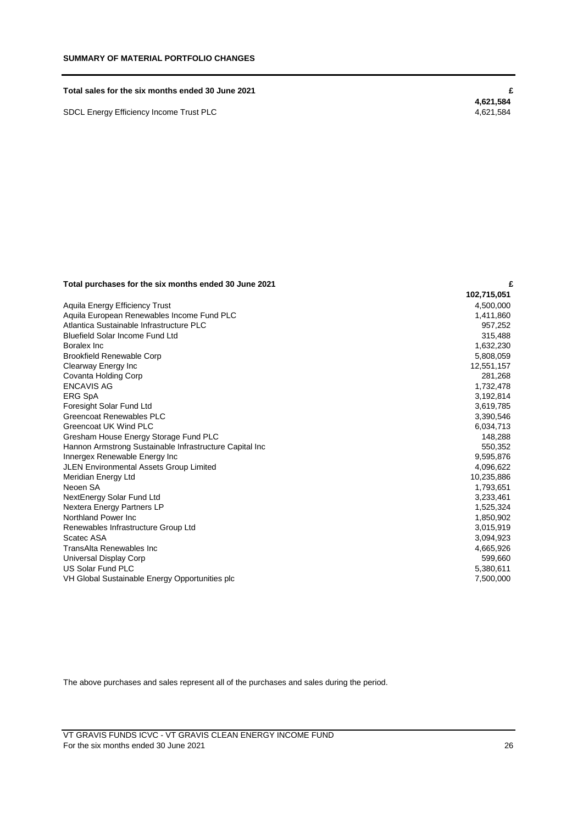#### **Total sales for the six months ended 30 June 2021 £**

SDCL Energy Efficiency Income Trust PLC

 **4,621,584**

# **Total purchases for the six months ended 30 June 2021 £**

| <b>TOtal participates for the six months chaca oc canc</b> |             |
|------------------------------------------------------------|-------------|
|                                                            | 102,715,051 |
| Aquila Energy Efficiency Trust                             | 4,500,000   |
| Aquila European Renewables Income Fund PLC                 | 1,411,860   |
| Atlantica Sustainable Infrastructure PLC                   | 957,252     |
| Bluefield Solar Income Fund Ltd                            | 315,488     |
| Boralex Inc                                                | 1,632,230   |
| <b>Brookfield Renewable Corp</b>                           | 5,808,059   |
| Clearway Energy Inc                                        | 12,551,157  |
| Covanta Holding Corp                                       | 281,268     |
| <b>ENCAVIS AG</b>                                          | 1,732,478   |
| <b>ERG SpA</b>                                             | 3,192,814   |
| Foresight Solar Fund Ltd                                   | 3,619,785   |
| Greencoat Renewables PLC                                   | 3,390,546   |
| Greencoat UK Wind PLC                                      | 6,034,713   |
| Gresham House Energy Storage Fund PLC                      | 148,288     |
| Hannon Armstrong Sustainable Infrastructure Capital Inc    | 550,352     |
| Innergex Renewable Energy Inc                              | 9,595,876   |
| JLEN Environmental Assets Group Limited                    | 4,096,622   |
| Meridian Energy Ltd                                        | 10,235,886  |
| Neoen SA                                                   | 1,793,651   |
| NextEnergy Solar Fund Ltd                                  | 3,233,461   |
| Nextera Energy Partners LP                                 | 1,525,324   |
| Northland Power Inc.                                       | 1,850,902   |
| Renewables Infrastructure Group Ltd                        | 3,015,919   |
| Scatec ASA                                                 | 3,094,923   |
| TransAlta Renewables Inc                                   | 4,665,926   |
| Universal Display Corp                                     | 599,660     |
| <b>US Solar Fund PLC</b>                                   | 5,380,611   |
| VH Global Sustainable Energy Opportunities plc             | 7,500,000   |
|                                                            |             |

The above purchases and sales represent all of the purchases and sales during the period.

VT GRAVIS FUNDS ICVC - VT GRAVIS CLEAN ENERGY INCOME FUND For the six months ended 30 June 2021 26 and the six months ended 30 June 2021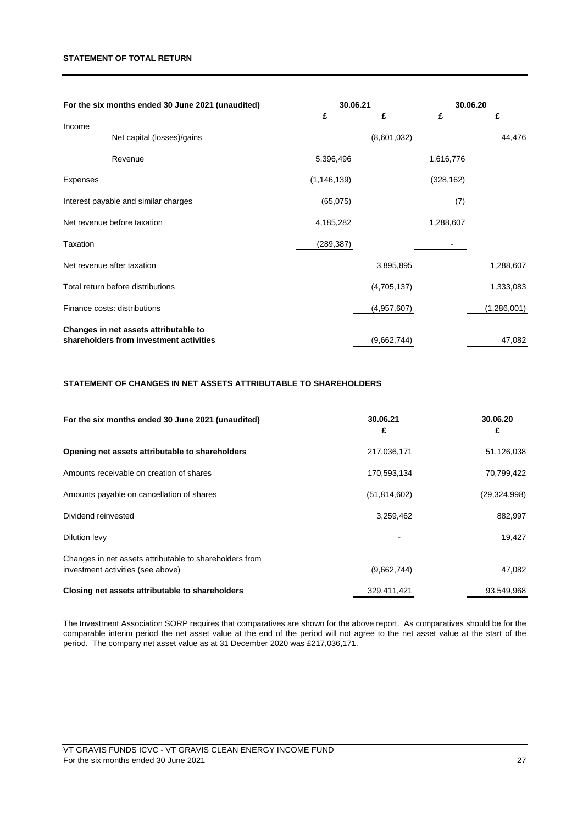## **STATEMENT OF TOTAL RETURN**

| For the six months ended 30 June 2021 (unaudited) |                                         |               | 30.06.21    | 30.06.20   |             |
|---------------------------------------------------|-----------------------------------------|---------------|-------------|------------|-------------|
|                                                   |                                         | £             | £           | £          | £           |
| Income                                            | Net capital (losses)/gains              |               | (8,601,032) |            | 44,476      |
|                                                   | Revenue                                 | 5,396,496     |             | 1,616,776  |             |
| <b>Expenses</b>                                   |                                         | (1, 146, 139) |             | (328, 162) |             |
|                                                   | Interest payable and similar charges    | (65,075)      |             | (7)        |             |
|                                                   | Net revenue before taxation             | 4,185,282     |             | 1,288,607  |             |
| Taxation                                          |                                         | (289, 387)    |             |            |             |
|                                                   | Net revenue after taxation              |               | 3,895,895   |            | 1,288,607   |
|                                                   | Total return before distributions       |               | (4,705,137) |            | 1,333,083   |
|                                                   | Finance costs: distributions            |               | (4,957,607) |            | (1,286,001) |
|                                                   | Changes in net assets attributable to   |               |             |            |             |
|                                                   | shareholders from investment activities |               | (9,662,744) |            | 47,082      |

# **STATEMENT OF CHANGES IN NET ASSETS ATTRIBUTABLE TO SHAREHOLDERS**

| For the six months ended 30 June 2021 (unaudited)                                            | 30.06.21<br>£  | 30.06.20<br>£  |
|----------------------------------------------------------------------------------------------|----------------|----------------|
| Opening net assets attributable to shareholders                                              | 217,036,171    | 51,126,038     |
| Amounts receivable on creation of shares                                                     | 170,593,134    | 70,799,422     |
| Amounts payable on cancellation of shares                                                    | (51, 814, 602) | (29, 324, 998) |
| Dividend reinvested                                                                          | 3,259,462      | 882,997        |
| Dilution levy                                                                                |                | 19,427         |
| Changes in net assets attributable to shareholders from<br>investment activities (see above) | (9,662,744)    | 47,082         |
| Closing net assets attributable to shareholders                                              | 329,411,421    | 93.549.968     |

The Investment Association SORP requires that comparatives are shown for the above report. As comparatives should be for the comparable interim period the net asset value at the end of the period will not agree to the net asset value at the start of the period. The company net asset value as at 31 December 2020 was £217,036,171.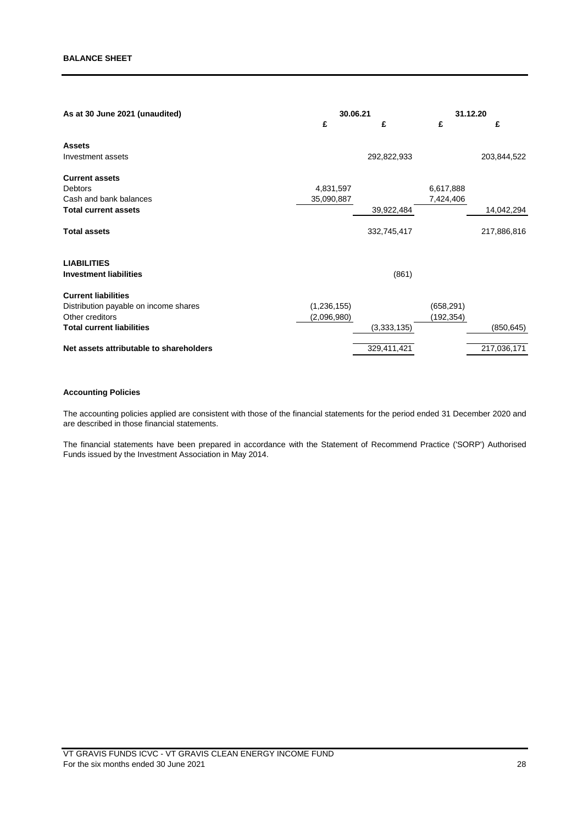| As at 30 June 2021 (unaudited)          | 30.06.21      |             | 31.12.20   |             |
|-----------------------------------------|---------------|-------------|------------|-------------|
|                                         | £             | £           | £          | £           |
| <b>Assets</b>                           |               |             |            |             |
| Investment assets                       |               | 292,822,933 |            | 203,844,522 |
| <b>Current assets</b>                   |               |             |            |             |
| <b>Debtors</b>                          | 4,831,597     |             | 6,617,888  |             |
| Cash and bank balances                  | 35,090,887    |             | 7,424,406  |             |
| <b>Total current assets</b>             |               | 39,922,484  |            | 14,042,294  |
| <b>Total assets</b>                     |               | 332,745,417 |            | 217,886,816 |
| <b>LIABILITIES</b>                      |               |             |            |             |
| <b>Investment liabilities</b>           |               | (861)       |            |             |
| <b>Current liabilities</b>              |               |             |            |             |
| Distribution payable on income shares   | (1, 236, 155) |             | (658, 291) |             |
| Other creditors                         | (2,096,980)   |             | (192,354)  |             |
| <b>Total current liabilities</b>        |               | (3,333,135) |            | (850, 645)  |
| Net assets attributable to shareholders |               | 329,411,421 |            | 217,036,171 |

# **Accounting Policies**

The accounting policies applied are consistent with those of the financial statements for the period ended 31 December 2020 and are described in those financial statements.

The financial statements have been prepared in accordance with the Statement of Recommend Practice ('SORP') Authorised Funds issued by the Investment Association in May 2014.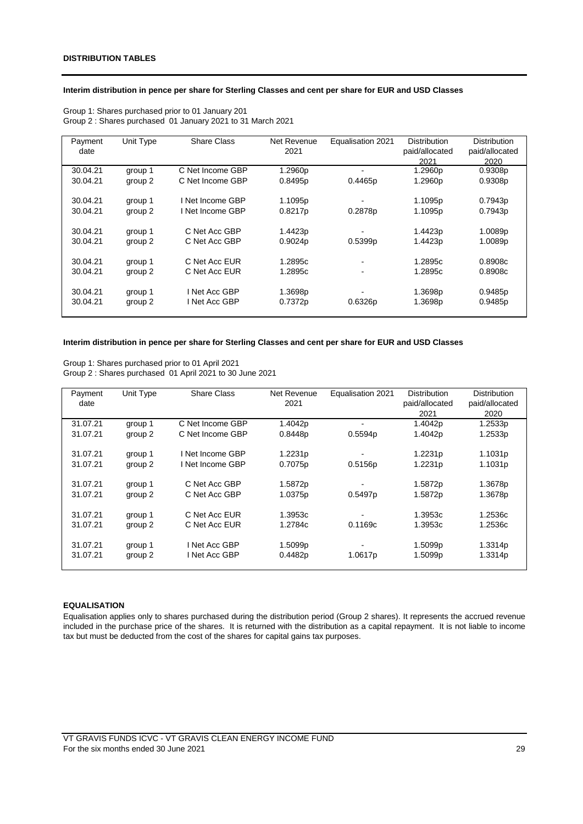## **Interim distribution in pence per share for Sterling Classes and cent per share for EUR and USD Classes**

| Payment  | Unit Type | <b>Share Class</b> | Net Revenue | Equalisation 2021 | <b>Distribution</b> | <b>Distribution</b> |
|----------|-----------|--------------------|-------------|-------------------|---------------------|---------------------|
| date     |           |                    | 2021        |                   | paid/allocated      | paid/allocated      |
|          |           |                    |             |                   | 2021                | 2020                |
| 30.04.21 | group 1   | C Net Income GBP   | 1.2960p     |                   | 1.2960p             | 0.9308p             |
| 30.04.21 | group 2   | C Net Income GBP   | 0.8495p     | 0.4465p           | 1.2960p             | 0.9308p             |
|          |           |                    |             |                   |                     |                     |
| 30.04.21 | group 1   | I Net Income GBP   | 1.1095p     |                   | 1.1095p             | 0.7943p             |
| 30.04.21 | group 2   | I Net Income GBP   | 0.8217p     | 0.2878p           | 1.1095p             | 0.7943p             |
|          |           |                    |             |                   |                     |                     |
| 30.04.21 | group 1   | C Net Acc GBP      | 1.4423p     |                   | 1.4423p             | 1.0089p             |
| 30.04.21 | group 2   | C Net Acc GBP      | 0.9024p     | 0.5399p           | 1.4423p             | 1.0089p             |
|          |           |                    |             |                   |                     |                     |
| 30.04.21 | group 1   | C Net Acc EUR      | 1.2895c     |                   | 1.2895c             | 0.8908c             |
| 30.04.21 | group 2   | C Net Acc EUR      | 1.2895c     |                   | 1.2895c             | 0.8908c             |
|          |           |                    |             |                   |                     |                     |
| 30.04.21 | group 1   | I Net Acc GBP      | 1.3698p     |                   | 1.3698p             | 0.9485p             |
| 30.04.21 | group 2   | I Net Acc GBP      | 0.7372p     | 0.6326p           | 1.3698p             | 0.9485p             |
|          |           |                    |             |                   |                     |                     |

Group 1: Shares purchased prior to 01 January 201 Group 2 : Shares purchased 01 January 2021 to 31 March 2021

## **Interim distribution in pence per share for Sterling Classes and cent per share for EUR and USD Classes**

Group 1: Shares purchased prior to 01 April 2021 Group 2 : Shares purchased 01 April 2021 to 30 June 2021

| Payment  | Unit Type | <b>Share Class</b> | Net Revenue | Equalisation 2021 | <b>Distribution</b> | <b>Distribution</b> |
|----------|-----------|--------------------|-------------|-------------------|---------------------|---------------------|
| date     |           |                    | 2021        |                   | paid/allocated      | paid/allocated      |
|          |           |                    |             |                   | 2021                | 2020                |
| 31.07.21 | group 1   | C Net Income GBP   | 1.4042p     |                   | 1.4042p             | 1.2533p             |
| 31.07.21 | group 2   | C Net Income GBP   | 0.8448p     | 0.5594p           | 1.4042p             | 1.2533p             |
|          |           |                    |             |                   |                     |                     |
| 31.07.21 | group 1   | I Net Income GBP   | 1.2231p     |                   | 1.2231p             | 1.1031p             |
| 31.07.21 | group 2   | I Net Income GBP   | 0.7075p     | 0.5156p           | 1.2231p             | 1.1031 <sub>p</sub> |
|          |           |                    |             |                   |                     |                     |
| 31.07.21 | group 1   | C Net Acc GBP      | 1.5872p     |                   | 1.5872p             | 1.3678p             |
| 31.07.21 | group 2   | C Net Acc GBP      | 1.0375p     | 0.5497p           | 1.5872p             | 1.3678p             |
|          |           |                    |             |                   |                     |                     |
| 31.07.21 | group 1   | C Net Acc EUR      | 1.3953c     |                   | 1.3953c             | 1.2536c             |
| 31.07.21 | group 2   | C Net Acc EUR      | 1.2784c     | 0.1169c           | 1.3953c             | 1.2536c             |
|          |           |                    |             |                   |                     |                     |
| 31.07.21 | group 1   | Net Acc GBP        | 1.5099p     |                   | 1.5099p             | 1.3314p             |
| 31.07.21 | group 2   | Net Acc GBP        | 0.4482p     | 1.0617p           | 1.5099p             | 1.3314p             |
|          |           |                    |             |                   |                     |                     |

## **EQUALISATION**

Equalisation applies only to shares purchased during the distribution period (Group 2 shares). It represents the accrued revenue included in the purchase price of the shares. It is returned with the distribution as a capital repayment. It is not liable to income tax but must be deducted from the cost of the shares for capital gains tax purposes.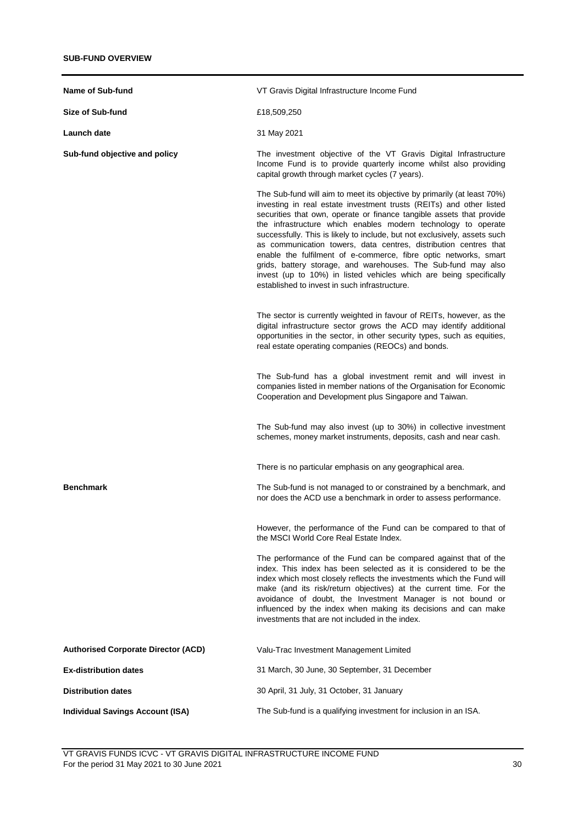| Name of Sub-fund                           | VT Gravis Digital Infrastructure Income Fund                                                                                                                                                                                                                                                                                                                                                                                                                                                                                                                                                                                                                                                         |
|--------------------------------------------|------------------------------------------------------------------------------------------------------------------------------------------------------------------------------------------------------------------------------------------------------------------------------------------------------------------------------------------------------------------------------------------------------------------------------------------------------------------------------------------------------------------------------------------------------------------------------------------------------------------------------------------------------------------------------------------------------|
|                                            |                                                                                                                                                                                                                                                                                                                                                                                                                                                                                                                                                                                                                                                                                                      |
| <b>Size of Sub-fund</b>                    | £18,509,250                                                                                                                                                                                                                                                                                                                                                                                                                                                                                                                                                                                                                                                                                          |
| Launch date                                | 31 May 2021                                                                                                                                                                                                                                                                                                                                                                                                                                                                                                                                                                                                                                                                                          |
| Sub-fund objective and policy              | The investment objective of the VT Gravis Digital Infrastructure<br>Income Fund is to provide quarterly income whilst also providing<br>capital growth through market cycles (7 years).                                                                                                                                                                                                                                                                                                                                                                                                                                                                                                              |
|                                            | The Sub-fund will aim to meet its objective by primarily (at least 70%)<br>investing in real estate investment trusts (REITs) and other listed<br>securities that own, operate or finance tangible assets that provide<br>the infrastructure which enables modern technology to operate<br>successfully. This is likely to include, but not exclusively, assets such<br>as communication towers, data centres, distribution centres that<br>enable the fulfilment of e-commerce, fibre optic networks, smart<br>grids, battery storage, and warehouses. The Sub-fund may also<br>invest (up to 10%) in listed vehicles which are being specifically<br>established to invest in such infrastructure. |
|                                            | The sector is currently weighted in favour of REITs, however, as the<br>digital infrastructure sector grows the ACD may identify additional<br>opportunities in the sector, in other security types, such as equities,<br>real estate operating companies (REOCs) and bonds.                                                                                                                                                                                                                                                                                                                                                                                                                         |
|                                            | The Sub-fund has a global investment remit and will invest in<br>companies listed in member nations of the Organisation for Economic<br>Cooperation and Development plus Singapore and Taiwan.                                                                                                                                                                                                                                                                                                                                                                                                                                                                                                       |
|                                            | The Sub-fund may also invest (up to 30%) in collective investment<br>schemes, money market instruments, deposits, cash and near cash.                                                                                                                                                                                                                                                                                                                                                                                                                                                                                                                                                                |
|                                            | There is no particular emphasis on any geographical area.                                                                                                                                                                                                                                                                                                                                                                                                                                                                                                                                                                                                                                            |
| <b>Benchmark</b>                           | The Sub-fund is not managed to or constrained by a benchmark, and<br>nor does the ACD use a benchmark in order to assess performance.                                                                                                                                                                                                                                                                                                                                                                                                                                                                                                                                                                |
|                                            | However, the performance of the Fund can be compared to that of<br>the MSCI World Core Real Estate Index.                                                                                                                                                                                                                                                                                                                                                                                                                                                                                                                                                                                            |
|                                            | The performance of the Fund can be compared against that of the<br>index. This index has been selected as it is considered to be the<br>index which most closely reflects the investments which the Fund will<br>make (and its risk/return objectives) at the current time. For the<br>avoidance of doubt, the Investment Manager is not bound or<br>influenced by the index when making its decisions and can make<br>investments that are not included in the index.                                                                                                                                                                                                                               |
| <b>Authorised Corporate Director (ACD)</b> | Valu-Trac Investment Management Limited                                                                                                                                                                                                                                                                                                                                                                                                                                                                                                                                                                                                                                                              |
| <b>Ex-distribution dates</b>               | 31 March, 30 June, 30 September, 31 December                                                                                                                                                                                                                                                                                                                                                                                                                                                                                                                                                                                                                                                         |
| <b>Distribution dates</b>                  | 30 April, 31 July, 31 October, 31 January                                                                                                                                                                                                                                                                                                                                                                                                                                                                                                                                                                                                                                                            |
| <b>Individual Savings Account (ISA)</b>    | The Sub-fund is a qualifying investment for inclusion in an ISA.                                                                                                                                                                                                                                                                                                                                                                                                                                                                                                                                                                                                                                     |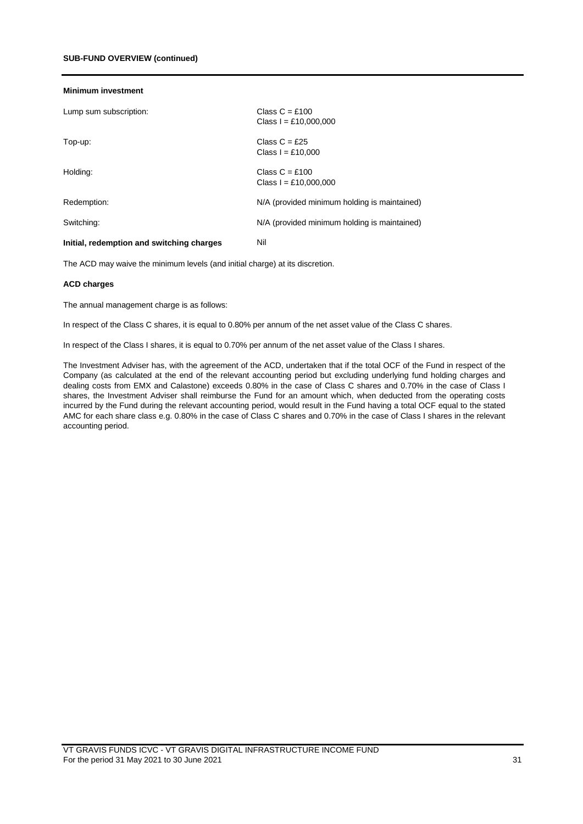#### **Minimum investment**

| Lump sum subscription:                    | Class $C = £100$<br>Class $I = £10,000,000$  |
|-------------------------------------------|----------------------------------------------|
| Top-up:                                   | Class $C = £25$<br>Class $I = £10.000$       |
| Holding:                                  | Class $C = £100$<br>Class $I = £10,000,000$  |
| Redemption:                               | N/A (provided minimum holding is maintained) |
| Switching:                                | N/A (provided minimum holding is maintained) |
| Initial, redemption and switching charges | Nil                                          |

The ACD may waive the minimum levels (and initial charge) at its discretion.

#### **ACD charges**

The annual management charge is as follows:

In respect of the Class C shares, it is equal to 0.80% per annum of the net asset value of the Class C shares.

In respect of the Class I shares, it is equal to 0.70% per annum of the net asset value of the Class I shares.

The Investment Adviser has, with the agreement of the ACD, undertaken that if the total OCF of the Fund in respect of the Company (as calculated at the end of the relevant accounting period but excluding underlying fund holding charges and dealing costs from EMX and Calastone) exceeds 0.80% in the case of Class C shares and 0.70% in the case of Class I shares, the Investment Adviser shall reimburse the Fund for an amount which, when deducted from the operating costs incurred by the Fund during the relevant accounting period, would result in the Fund having a total OCF equal to the stated AMC for each share class e.g. 0.80% in the case of Class C shares and 0.70% in the case of Class I shares in the relevant accounting period.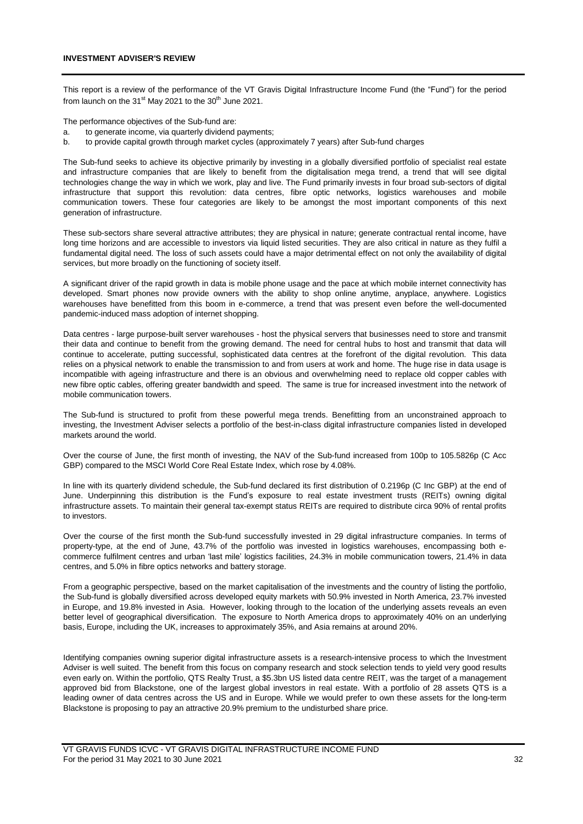This report is a review of the performance of the VT Gravis Digital Infrastructure Income Fund (the "Fund") for the period from launch on the 31 $\mathrm{st}$  May 2021 to the 30 $\mathrm{th}$  June 2021.

The performance objectives of the Sub-fund are:

- a. to generate income, via quarterly dividend payments;
- b. to provide capital growth through market cycles (approximately 7 years) after Sub-fund charges

The Sub-fund seeks to achieve its objective primarily by investing in a globally diversified portfolio of specialist real estate and infrastructure companies that are likely to benefit from the digitalisation mega trend, a trend that will see digital technologies change the way in which we work, play and live. The Fund primarily invests in four broad sub-sectors of digital infrastructure that support this revolution: data centres, fibre optic networks, logistics warehouses and mobile communication towers. These four categories are likely to be amongst the most important components of this next generation of infrastructure.

These sub-sectors share several attractive attributes; they are physical in nature; generate contractual rental income, have long time horizons and are accessible to investors via liquid listed securities. They are also critical in nature as they fulfil a fundamental digital need. The loss of such assets could have a major detrimental effect on not only the availability of digital services, but more broadly on the functioning of society itself.

A significant driver of the rapid growth in data is mobile phone usage and the pace at which mobile internet connectivity has developed. Smart phones now provide owners with the ability to shop online anytime, anyplace, anywhere. Logistics warehouses have benefitted from this boom in e-commerce, a trend that was present even before the well-documented pandemic-induced mass adoption of internet shopping.

Data centres - large purpose-built server warehouses - host the physical servers that businesses need to store and transmit their data and continue to benefit from the growing demand. The need for central hubs to host and transmit that data will continue to accelerate, putting successful, sophisticated data centres at the forefront of the digital revolution. This data relies on a physical network to enable the transmission to and from users at work and home. The huge rise in data usage is incompatible with ageing infrastructure and there is an obvious and overwhelming need to replace old copper cables with new fibre optic cables, offering greater bandwidth and speed. The same is true for increased investment into the network of mobile communication towers.

The Sub-fund is structured to profit from these powerful mega trends. Benefitting from an unconstrained approach to investing, the Investment Adviser selects a portfolio of the best-in-class digital infrastructure companies listed in developed markets around the world.

Over the course of June, the first month of investing, the NAV of the Sub-fund increased from 100p to 105.5826p (C Acc GBP) compared to the MSCI World Core Real Estate Index, which rose by 4.08%.

In line with its quarterly dividend schedule, the Sub-fund declared its first distribution of 0.2196p (C Inc GBP) at the end of June. Underpinning this distribution is the Fund's exposure to real estate investment trusts (REITs) owning digital infrastructure assets. To maintain their general tax-exempt status REITs are required to distribute circa 90% of rental profits to investors.

Over the course of the first month the Sub-fund successfully invested in 29 digital infrastructure companies. In terms of property-type, at the end of June, 43.7% of the portfolio was invested in logistics warehouses, encompassing both ecommerce fulfilment centres and urban 'last mile' logistics facilities, 24.3% in mobile communication towers, 21.4% in data centres, and 5.0% in fibre optics networks and battery storage.

From a geographic perspective, based on the market capitalisation of the investments and the country of listing the portfolio, the Sub-fund is globally diversified across developed equity markets with 50.9% invested in North America, 23.7% invested in Europe, and 19.8% invested in Asia. However, looking through to the location of the underlying assets reveals an even better level of geographical diversification. The exposure to North America drops to approximately 40% on an underlying basis, Europe, including the UK, increases to approximately 35%, and Asia remains at around 20%.

Identifying companies owning superior digital infrastructure assets is a research-intensive process to which the Investment Adviser is well suited. The benefit from this focus on company research and stock selection tends to yield very good results even early on. Within the portfolio, QTS Realty Trust, a \$5.3bn US listed data centre REIT, was the target of a management approved bid from Blackstone, one of the largest global investors in real estate. With a portfolio of 28 assets QTS is a leading owner of data centres across the US and in Europe. While we would prefer to own these assets for the long-term Blackstone is proposing to pay an attractive 20.9% premium to the undisturbed share price.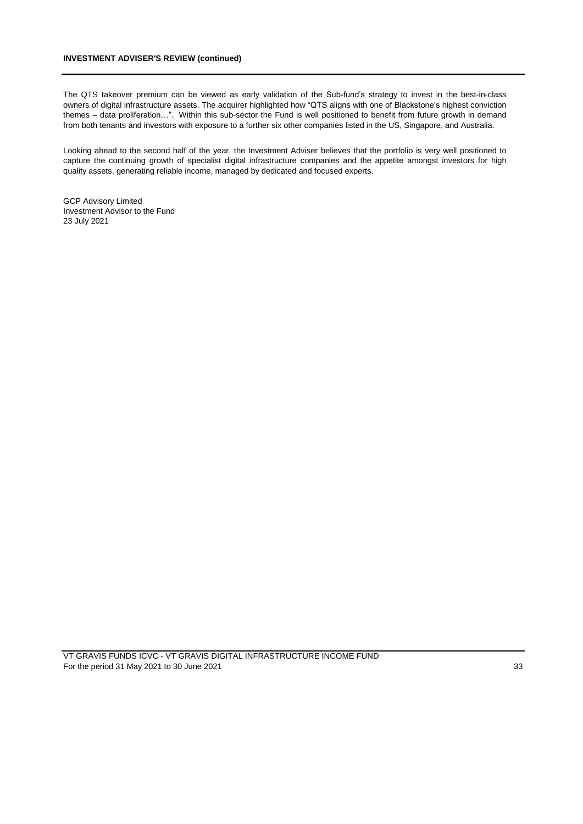## **INVESTMENT ADVISER'S REVIEW (continued)**

The QTS takeover premium can be viewed as early validation of the Sub-fund's strategy to invest in the best-in-class owners of digital infrastructure assets. The acquirer highlighted how "QTS aligns with one of Blackstone's highest conviction themes – data proliferation…". Within this sub-sector the Fund is well positioned to benefit from future growth in demand from both tenants and investors with exposure to a further six other companies listed in the US, Singapore, and Australia.

Looking ahead to the second half of the year, the Investment Adviser believes that the portfolio is very well positioned to capture the continuing growth of specialist digital infrastructure companies and the appetite amongst investors for high quality assets, generating reliable income, managed by dedicated and focused experts.

GCP Advisory Limited Investment Advisor to the Fund 23 July 2021

VT GRAVIS FUNDS ICVC - VT GRAVIS DIGITAL INFRASTRUCTURE INCOME FUND For the period 31 May 2021 to 30 June 2021 33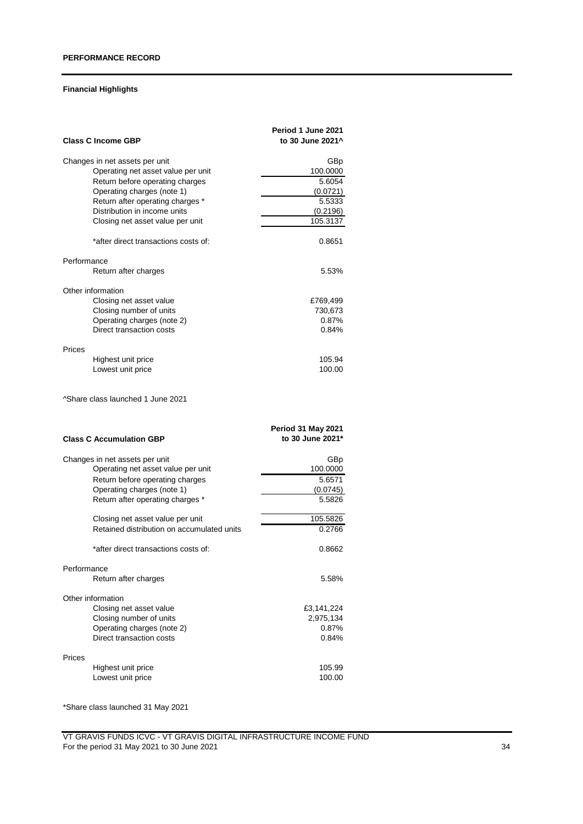# **Financial Highlights**

| <b>Class C Income GBP</b>                                                                                                                                                                                                                                   | Period 1 June 2021<br>to 30 June 2021 <sup>^</sup>                      |
|-------------------------------------------------------------------------------------------------------------------------------------------------------------------------------------------------------------------------------------------------------------|-------------------------------------------------------------------------|
| Changes in net assets per unit<br>Operating net asset value per unit<br>Return before operating charges<br>Operating charges (note 1)<br>Return after operating charges *<br>Distribution in income units<br>Closing net asset value per unit               | GBp<br>100.0000<br>5.6054<br>(0.0721)<br>5.5333<br>(0.2196)<br>105.3137 |
| *after direct transactions costs of:                                                                                                                                                                                                                        | 0.8651                                                                  |
| Performance<br>Return after charges                                                                                                                                                                                                                         | 5.53%                                                                   |
| Other information<br>Closing net asset value<br>Closing number of units<br>Operating charges (note 2)<br>Direct transaction costs                                                                                                                           | £769,499<br>730,673<br>0.87%<br>0.84%                                   |
| Prices<br>Highest unit price<br>Lowest unit price                                                                                                                                                                                                           | 105.94<br>100.00                                                        |
| <sup>^</sup> Share class launched 1 June 2021                                                                                                                                                                                                               |                                                                         |
| <b>Class C Accumulation GBP</b>                                                                                                                                                                                                                             | <b>Period 31 May 2021</b><br>to 30 June 2021*                           |
| Changes in net assets per unit<br>Operating net asset value per unit<br>Return before operating charges<br>Operating charges (note 1)<br>Return after operating charges *<br>Closing net asset value per unit<br>Retained distribution on accumulated units | GBp<br>100.0000<br>5.6571<br>(0.0745)<br>5.5826<br>105.5826<br>0.2766   |
| *after direct transactions costs of:                                                                                                                                                                                                                        | 0.8662                                                                  |
| Performance<br>Return after charges                                                                                                                                                                                                                         | 5.58%                                                                   |
| Other information<br>Closing net asset value<br>Closing number of units<br>Operating charges (note 2)<br>Direct transaction costs                                                                                                                           | £3,141,224<br>2,975,134<br>0.87%<br>0.84%                               |
| Prices<br>Highest unit price<br>Lowest unit price                                                                                                                                                                                                           | 105.99<br>100.00                                                        |

\*Share class launched 31 May 2021

VT GRAVIS FUNDS ICVC - VT GRAVIS DIGITAL INFRASTRUCTURE INCOME FUND For the period 31 May 2021 to 30 June 2021 34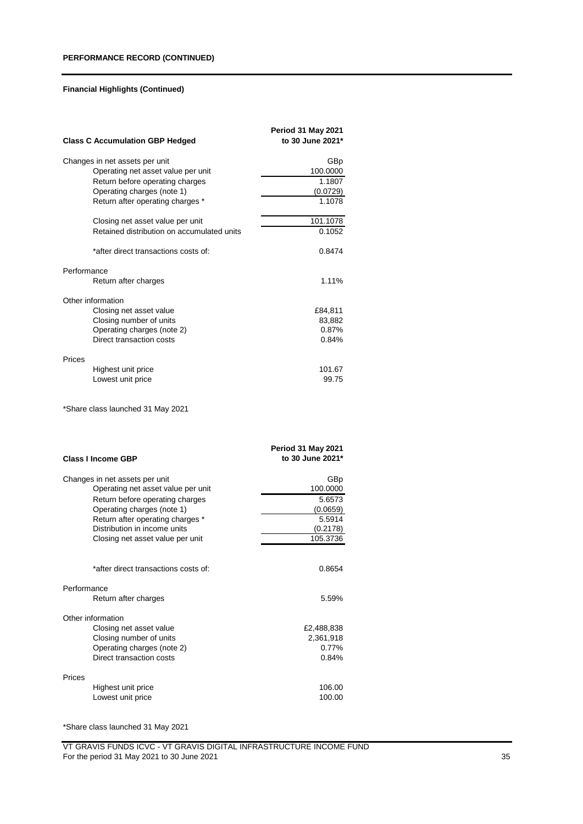|             | <b>Class C Accumulation GBP Hedged</b>                           | <b>Period 31 May 2021</b><br>to 30 June 2021* |
|-------------|------------------------------------------------------------------|-----------------------------------------------|
|             | Changes in net assets per unit                                   | GBp                                           |
|             | Operating net asset value per unit                               | 100.0000                                      |
|             | Return before operating charges                                  | 1.1807                                        |
|             | Operating charges (note 1)                                       | (0.0729)                                      |
|             | Return after operating charges *                                 | 1.1078                                        |
|             | Closing net asset value per unit                                 | 101.1078                                      |
|             | Retained distribution on accumulated units                       | 0.1052                                        |
|             | *after direct transactions costs of:                             | 0.8474                                        |
| Performance |                                                                  |                                               |
|             | Return after charges                                             | 1.11%                                         |
|             | Other information                                                |                                               |
|             | Closing net asset value                                          | £84,811                                       |
|             | Closing number of units                                          | 83,882                                        |
|             | Operating charges (note 2)                                       | 0.87%                                         |
|             | Direct transaction costs                                         | 0.84%                                         |
| Prices      |                                                                  |                                               |
|             | Highest unit price                                               | 101.67                                        |
|             | Lowest unit price                                                | 99.75                                         |
|             | *Share class launched 31 May 2021                                |                                               |
|             | <b>Class I Income GBP</b>                                        | <b>Period 31 May 2021</b><br>to 30 June 2021* |
|             |                                                                  |                                               |
|             | Changes in net assets per unit                                   | GBp                                           |
|             | Operating net asset value per unit                               | 100.0000                                      |
|             | Return before operating charges                                  | 5.6573                                        |
|             | Operating charges (note 1)                                       | (0.0659)                                      |
|             | Return after operating charges *<br>Distribution in income units | 5.5914                                        |
|             | Closing net asset value per unit                                 | (0.2178)<br>105.3736                          |
|             |                                                                  |                                               |
|             | *after direct transactions costs of:                             | 0.8654                                        |
| Performance |                                                                  |                                               |
|             | Return after charges                                             | 5.59%                                         |
|             | Other information                                                |                                               |
|             | Closing net asset value                                          | £2,488,838                                    |
|             | Closing number of units                                          | 2,361,918                                     |
|             | Operating charges (note 2)                                       | 0.77%                                         |
|             | Direct transaction costs                                         | 0.84%                                         |
| Prices      |                                                                  |                                               |
|             | Highest unit price                                               | 106.00                                        |
|             | Lowest unit price                                                | 100.00                                        |

\*Share class launched 31 May 2021

VT GRAVIS FUNDS ICVC - VT GRAVIS DIGITAL INFRASTRUCTURE INCOME FUND For the period 31 May 2021 to 30 June 2021 35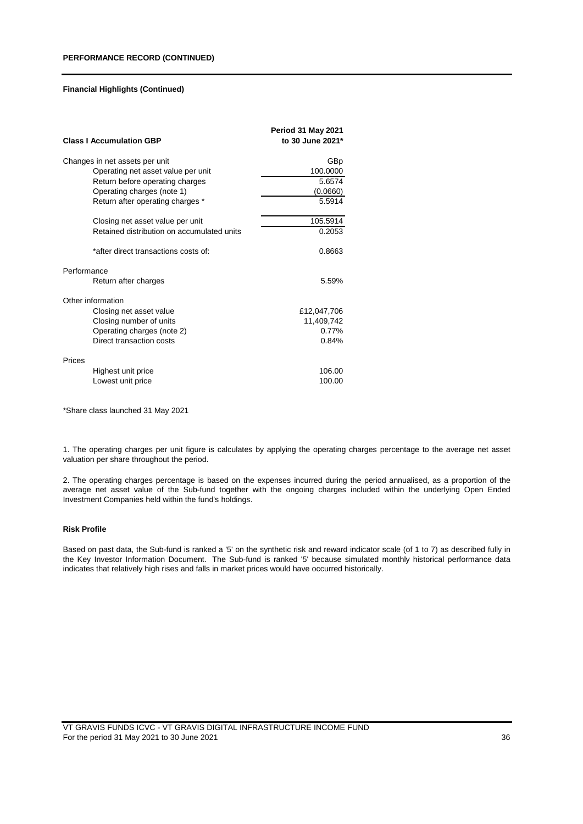| <b>Class I Accumulation GBP</b>            | <b>Period 31 May 2021</b><br>to 30 June 2021* |
|--------------------------------------------|-----------------------------------------------|
| Changes in net assets per unit             | GBp                                           |
| Operating net asset value per unit         | 100.0000                                      |
| Return before operating charges            | 5.6574                                        |
| Operating charges (note 1)                 | (0.0660)                                      |
| Return after operating charges *           | 5.5914                                        |
| Closing net asset value per unit           | 105.5914                                      |
| Retained distribution on accumulated units | 0.2053                                        |
| *after direct transactions costs of:       | 0.8663                                        |
| Performance                                |                                               |
| Return after charges                       | 5.59%                                         |
| Other information                          |                                               |
| Closing net asset value                    | £12,047,706                                   |
| Closing number of units                    | 11,409,742                                    |
| Operating charges (note 2)                 | 0.77%                                         |
| Direct transaction costs                   | 0.84%                                         |
| Prices                                     |                                               |
| Highest unit price                         | 106.00                                        |
| Lowest unit price                          | 100.00                                        |

\*Share class launched 31 May 2021

1. The operating charges per unit figure is calculates by applying the operating charges percentage to the average net asset valuation per share throughout the period.

2. The operating charges percentage is based on the expenses incurred during the period annualised, as a proportion of the average net asset value of the Sub-fund together with the ongoing charges included within the underlying Open Ended Investment Companies held within the fund's holdings.

#### **Risk Profile**

Based on past data, the Sub-fund is ranked a '5' on the synthetic risk and reward indicator scale (of 1 to 7) as described fully in the Key Investor Information Document. The Sub-fund is ranked '5' because simulated monthly historical performance data indicates that relatively high rises and falls in market prices would have occurred historically.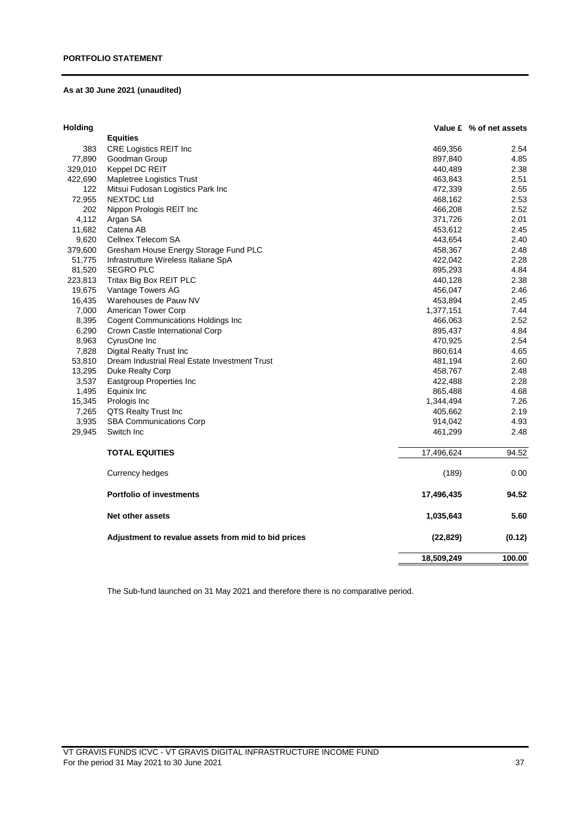## **As at 30 June 2021 (unaudited)**

| <b>Equities</b><br>383<br>CRE Logistics REIT Inc<br>469,356<br>2.54<br>77,890<br>Goodman Group<br>897,840<br>4.85<br>329,010<br>Keppel DC REIT<br>440,489<br>2.38<br>422,690<br>Mapletree Logistics Trust<br>463,843<br>2.51<br>122<br>Mitsui Fudosan Logistics Park Inc<br>2.55<br>472,339<br>72,955<br><b>NEXTDC Ltd</b><br>2.53<br>468,162<br>202<br>Nippon Prologis REIT Inc<br>466,208<br>2.52<br>4,112<br>2.01<br>Argan SA<br>371,726<br>11,682<br>Catena AB<br>453,612<br>2.45<br>9,620<br>Cellnex Telecom SA<br>443,654<br>2.40<br>379,600<br>Gresham House Energy Storage Fund PLC<br>2.48<br>458,367<br>51,775<br>Infrastrutture Wireless Italiane SpA<br>422,042<br>2.28<br>81,520<br><b>SEGRO PLC</b><br>895,293<br>4.84<br>223,813<br>Tritax Big Box REIT PLC<br>2.38<br>440,128<br>19,675<br>Vantage Towers AG<br>456,047<br>2.46<br>16,435<br>Warehouses de Pauw NV<br>453,894<br>2.45<br>7,000<br>American Tower Corp<br>7.44<br>1,377,151<br>8,395<br><b>Cogent Communications Holdings Inc</b><br>466,063<br>2.52<br>6,290<br>Crown Castle International Corp<br>895,437<br>4.84<br>8,963<br>CyrusOne Inc<br>470,925<br>2.54<br>7,828<br><b>Digital Realty Trust Inc.</b><br>860,614<br>4.65<br>53,810<br>Dream Industrial Real Estate Investment Trust<br>481,194<br>2.60<br>13,295<br>Duke Realty Corp<br>458,767<br>2.48<br>3,537<br>2.28<br><b>Eastgroup Properties Inc</b><br>422,488<br>1,495<br>Equinix Inc<br>865,488<br>4.68<br>15,345<br>Prologis Inc<br>1,344,494<br>7.26<br>7,265<br>QTS Realty Trust Inc<br>405,662<br>2.19<br>3,935<br><b>SBA Communications Corp</b><br>4.93<br>914,042<br>29,945<br>Switch Inc<br>2.48<br>461,299<br>94.52<br><b>TOTAL EQUITIES</b><br>17,496,624<br>(189)<br><b>Currency hedges</b><br>0.00<br><b>Portfolio of investments</b><br>94.52<br>17,496,435<br>Net other assets<br>1,035,643<br>5.60<br>Adjustment to revalue assets from mid to bid prices<br>(22, 829)<br>(0.12)<br>18,509,249<br>100.00 | <b>Holding</b> |  | Value £ % of net assets |
|-------------------------------------------------------------------------------------------------------------------------------------------------------------------------------------------------------------------------------------------------------------------------------------------------------------------------------------------------------------------------------------------------------------------------------------------------------------------------------------------------------------------------------------------------------------------------------------------------------------------------------------------------------------------------------------------------------------------------------------------------------------------------------------------------------------------------------------------------------------------------------------------------------------------------------------------------------------------------------------------------------------------------------------------------------------------------------------------------------------------------------------------------------------------------------------------------------------------------------------------------------------------------------------------------------------------------------------------------------------------------------------------------------------------------------------------------------------------------------------------------------------------------------------------------------------------------------------------------------------------------------------------------------------------------------------------------------------------------------------------------------------------------------------------------------------------------------------------------------------------------------------------------------------------------------------------------------------------------|----------------|--|-------------------------|
|                                                                                                                                                                                                                                                                                                                                                                                                                                                                                                                                                                                                                                                                                                                                                                                                                                                                                                                                                                                                                                                                                                                                                                                                                                                                                                                                                                                                                                                                                                                                                                                                                                                                                                                                                                                                                                                                                                                                                                         |                |  |                         |
|                                                                                                                                                                                                                                                                                                                                                                                                                                                                                                                                                                                                                                                                                                                                                                                                                                                                                                                                                                                                                                                                                                                                                                                                                                                                                                                                                                                                                                                                                                                                                                                                                                                                                                                                                                                                                                                                                                                                                                         |                |  |                         |
|                                                                                                                                                                                                                                                                                                                                                                                                                                                                                                                                                                                                                                                                                                                                                                                                                                                                                                                                                                                                                                                                                                                                                                                                                                                                                                                                                                                                                                                                                                                                                                                                                                                                                                                                                                                                                                                                                                                                                                         |                |  |                         |
|                                                                                                                                                                                                                                                                                                                                                                                                                                                                                                                                                                                                                                                                                                                                                                                                                                                                                                                                                                                                                                                                                                                                                                                                                                                                                                                                                                                                                                                                                                                                                                                                                                                                                                                                                                                                                                                                                                                                                                         |                |  |                         |
|                                                                                                                                                                                                                                                                                                                                                                                                                                                                                                                                                                                                                                                                                                                                                                                                                                                                                                                                                                                                                                                                                                                                                                                                                                                                                                                                                                                                                                                                                                                                                                                                                                                                                                                                                                                                                                                                                                                                                                         |                |  |                         |
|                                                                                                                                                                                                                                                                                                                                                                                                                                                                                                                                                                                                                                                                                                                                                                                                                                                                                                                                                                                                                                                                                                                                                                                                                                                                                                                                                                                                                                                                                                                                                                                                                                                                                                                                                                                                                                                                                                                                                                         |                |  |                         |
|                                                                                                                                                                                                                                                                                                                                                                                                                                                                                                                                                                                                                                                                                                                                                                                                                                                                                                                                                                                                                                                                                                                                                                                                                                                                                                                                                                                                                                                                                                                                                                                                                                                                                                                                                                                                                                                                                                                                                                         |                |  |                         |
|                                                                                                                                                                                                                                                                                                                                                                                                                                                                                                                                                                                                                                                                                                                                                                                                                                                                                                                                                                                                                                                                                                                                                                                                                                                                                                                                                                                                                                                                                                                                                                                                                                                                                                                                                                                                                                                                                                                                                                         |                |  |                         |
|                                                                                                                                                                                                                                                                                                                                                                                                                                                                                                                                                                                                                                                                                                                                                                                                                                                                                                                                                                                                                                                                                                                                                                                                                                                                                                                                                                                                                                                                                                                                                                                                                                                                                                                                                                                                                                                                                                                                                                         |                |  |                         |
|                                                                                                                                                                                                                                                                                                                                                                                                                                                                                                                                                                                                                                                                                                                                                                                                                                                                                                                                                                                                                                                                                                                                                                                                                                                                                                                                                                                                                                                                                                                                                                                                                                                                                                                                                                                                                                                                                                                                                                         |                |  |                         |
|                                                                                                                                                                                                                                                                                                                                                                                                                                                                                                                                                                                                                                                                                                                                                                                                                                                                                                                                                                                                                                                                                                                                                                                                                                                                                                                                                                                                                                                                                                                                                                                                                                                                                                                                                                                                                                                                                                                                                                         |                |  |                         |
|                                                                                                                                                                                                                                                                                                                                                                                                                                                                                                                                                                                                                                                                                                                                                                                                                                                                                                                                                                                                                                                                                                                                                                                                                                                                                                                                                                                                                                                                                                                                                                                                                                                                                                                                                                                                                                                                                                                                                                         |                |  |                         |
|                                                                                                                                                                                                                                                                                                                                                                                                                                                                                                                                                                                                                                                                                                                                                                                                                                                                                                                                                                                                                                                                                                                                                                                                                                                                                                                                                                                                                                                                                                                                                                                                                                                                                                                                                                                                                                                                                                                                                                         |                |  |                         |
|                                                                                                                                                                                                                                                                                                                                                                                                                                                                                                                                                                                                                                                                                                                                                                                                                                                                                                                                                                                                                                                                                                                                                                                                                                                                                                                                                                                                                                                                                                                                                                                                                                                                                                                                                                                                                                                                                                                                                                         |                |  |                         |
|                                                                                                                                                                                                                                                                                                                                                                                                                                                                                                                                                                                                                                                                                                                                                                                                                                                                                                                                                                                                                                                                                                                                                                                                                                                                                                                                                                                                                                                                                                                                                                                                                                                                                                                                                                                                                                                                                                                                                                         |                |  |                         |
|                                                                                                                                                                                                                                                                                                                                                                                                                                                                                                                                                                                                                                                                                                                                                                                                                                                                                                                                                                                                                                                                                                                                                                                                                                                                                                                                                                                                                                                                                                                                                                                                                                                                                                                                                                                                                                                                                                                                                                         |                |  |                         |
|                                                                                                                                                                                                                                                                                                                                                                                                                                                                                                                                                                                                                                                                                                                                                                                                                                                                                                                                                                                                                                                                                                                                                                                                                                                                                                                                                                                                                                                                                                                                                                                                                                                                                                                                                                                                                                                                                                                                                                         |                |  |                         |
|                                                                                                                                                                                                                                                                                                                                                                                                                                                                                                                                                                                                                                                                                                                                                                                                                                                                                                                                                                                                                                                                                                                                                                                                                                                                                                                                                                                                                                                                                                                                                                                                                                                                                                                                                                                                                                                                                                                                                                         |                |  |                         |
|                                                                                                                                                                                                                                                                                                                                                                                                                                                                                                                                                                                                                                                                                                                                                                                                                                                                                                                                                                                                                                                                                                                                                                                                                                                                                                                                                                                                                                                                                                                                                                                                                                                                                                                                                                                                                                                                                                                                                                         |                |  |                         |
|                                                                                                                                                                                                                                                                                                                                                                                                                                                                                                                                                                                                                                                                                                                                                                                                                                                                                                                                                                                                                                                                                                                                                                                                                                                                                                                                                                                                                                                                                                                                                                                                                                                                                                                                                                                                                                                                                                                                                                         |                |  |                         |
|                                                                                                                                                                                                                                                                                                                                                                                                                                                                                                                                                                                                                                                                                                                                                                                                                                                                                                                                                                                                                                                                                                                                                                                                                                                                                                                                                                                                                                                                                                                                                                                                                                                                                                                                                                                                                                                                                                                                                                         |                |  |                         |
|                                                                                                                                                                                                                                                                                                                                                                                                                                                                                                                                                                                                                                                                                                                                                                                                                                                                                                                                                                                                                                                                                                                                                                                                                                                                                                                                                                                                                                                                                                                                                                                                                                                                                                                                                                                                                                                                                                                                                                         |                |  |                         |
|                                                                                                                                                                                                                                                                                                                                                                                                                                                                                                                                                                                                                                                                                                                                                                                                                                                                                                                                                                                                                                                                                                                                                                                                                                                                                                                                                                                                                                                                                                                                                                                                                                                                                                                                                                                                                                                                                                                                                                         |                |  |                         |
|                                                                                                                                                                                                                                                                                                                                                                                                                                                                                                                                                                                                                                                                                                                                                                                                                                                                                                                                                                                                                                                                                                                                                                                                                                                                                                                                                                                                                                                                                                                                                                                                                                                                                                                                                                                                                                                                                                                                                                         |                |  |                         |
|                                                                                                                                                                                                                                                                                                                                                                                                                                                                                                                                                                                                                                                                                                                                                                                                                                                                                                                                                                                                                                                                                                                                                                                                                                                                                                                                                                                                                                                                                                                                                                                                                                                                                                                                                                                                                                                                                                                                                                         |                |  |                         |
|                                                                                                                                                                                                                                                                                                                                                                                                                                                                                                                                                                                                                                                                                                                                                                                                                                                                                                                                                                                                                                                                                                                                                                                                                                                                                                                                                                                                                                                                                                                                                                                                                                                                                                                                                                                                                                                                                                                                                                         |                |  |                         |
|                                                                                                                                                                                                                                                                                                                                                                                                                                                                                                                                                                                                                                                                                                                                                                                                                                                                                                                                                                                                                                                                                                                                                                                                                                                                                                                                                                                                                                                                                                                                                                                                                                                                                                                                                                                                                                                                                                                                                                         |                |  |                         |
|                                                                                                                                                                                                                                                                                                                                                                                                                                                                                                                                                                                                                                                                                                                                                                                                                                                                                                                                                                                                                                                                                                                                                                                                                                                                                                                                                                                                                                                                                                                                                                                                                                                                                                                                                                                                                                                                                                                                                                         |                |  |                         |
|                                                                                                                                                                                                                                                                                                                                                                                                                                                                                                                                                                                                                                                                                                                                                                                                                                                                                                                                                                                                                                                                                                                                                                                                                                                                                                                                                                                                                                                                                                                                                                                                                                                                                                                                                                                                                                                                                                                                                                         |                |  |                         |
|                                                                                                                                                                                                                                                                                                                                                                                                                                                                                                                                                                                                                                                                                                                                                                                                                                                                                                                                                                                                                                                                                                                                                                                                                                                                                                                                                                                                                                                                                                                                                                                                                                                                                                                                                                                                                                                                                                                                                                         |                |  |                         |
|                                                                                                                                                                                                                                                                                                                                                                                                                                                                                                                                                                                                                                                                                                                                                                                                                                                                                                                                                                                                                                                                                                                                                                                                                                                                                                                                                                                                                                                                                                                                                                                                                                                                                                                                                                                                                                                                                                                                                                         |                |  |                         |
|                                                                                                                                                                                                                                                                                                                                                                                                                                                                                                                                                                                                                                                                                                                                                                                                                                                                                                                                                                                                                                                                                                                                                                                                                                                                                                                                                                                                                                                                                                                                                                                                                                                                                                                                                                                                                                                                                                                                                                         |                |  |                         |
|                                                                                                                                                                                                                                                                                                                                                                                                                                                                                                                                                                                                                                                                                                                                                                                                                                                                                                                                                                                                                                                                                                                                                                                                                                                                                                                                                                                                                                                                                                                                                                                                                                                                                                                                                                                                                                                                                                                                                                         |                |  |                         |
|                                                                                                                                                                                                                                                                                                                                                                                                                                                                                                                                                                                                                                                                                                                                                                                                                                                                                                                                                                                                                                                                                                                                                                                                                                                                                                                                                                                                                                                                                                                                                                                                                                                                                                                                                                                                                                                                                                                                                                         |                |  |                         |
|                                                                                                                                                                                                                                                                                                                                                                                                                                                                                                                                                                                                                                                                                                                                                                                                                                                                                                                                                                                                                                                                                                                                                                                                                                                                                                                                                                                                                                                                                                                                                                                                                                                                                                                                                                                                                                                                                                                                                                         |                |  |                         |
|                                                                                                                                                                                                                                                                                                                                                                                                                                                                                                                                                                                                                                                                                                                                                                                                                                                                                                                                                                                                                                                                                                                                                                                                                                                                                                                                                                                                                                                                                                                                                                                                                                                                                                                                                                                                                                                                                                                                                                         |                |  |                         |

The Sub-fund launched on 31 May 2021 and therefore there is no comparative period.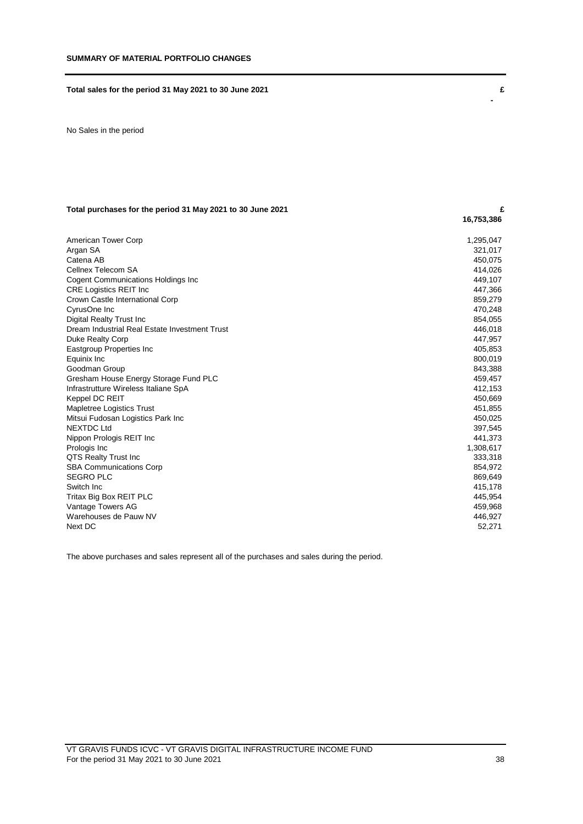## **Total sales for the period 31 May 2021 to 30 June 2021 £**

No Sales in the period

## **Total purchases for the period 31 May 2021 to 30 June 2021 £**

| American Tower Corp                           | 1,295,047 |
|-----------------------------------------------|-----------|
| Argan SA                                      | 321,017   |
| Catena AB                                     | 450,075   |
| Cellnex Telecom SA                            | 414,026   |
| Cogent Communications Holdings Inc            | 449.107   |
| <b>CRE Logistics REIT Inc</b>                 | 447,366   |
| Crown Castle International Corp               | 859,279   |
| CyrusOne Inc                                  | 470,248   |
| Digital Realty Trust Inc                      | 854,055   |
| Dream Industrial Real Estate Investment Trust | 446,018   |
| Duke Realty Corp                              | 447,957   |
| Eastgroup Properties Inc                      | 405,853   |
| Equinix Inc                                   | 800,019   |
| Goodman Group                                 | 843,388   |
| Gresham House Energy Storage Fund PLC         | 459,457   |
| Infrastrutture Wireless Italiane SpA          | 412,153   |
| Keppel DC REIT                                | 450,669   |
| Mapletree Logistics Trust                     | 451,855   |
| Mitsui Fudosan Logistics Park Inc             | 450,025   |
| <b>NEXTDC Ltd</b>                             | 397,545   |
| Nippon Prologis REIT Inc                      | 441,373   |
| Prologis Inc                                  | 1,308,617 |
| QTS Realty Trust Inc                          | 333,318   |
| <b>SBA Communications Corp</b>                | 854,972   |
| <b>SEGRO PLC</b>                              | 869,649   |
| Switch Inc                                    | 415,178   |
| Tritax Big Box REIT PLC                       | 445,954   |
| Vantage Towers AG                             | 459,968   |
| Warehouses de Pauw NV                         | 446,927   |
| Next DC                                       | 52,271    |

The above purchases and sales represent all of the purchases and sales during the period.

 **-**

 **16,753,386**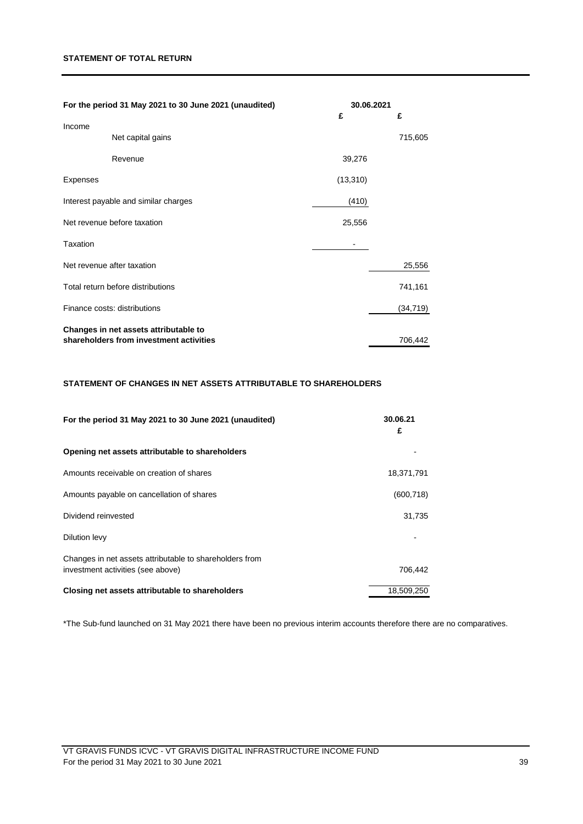## **STATEMENT OF TOTAL RETURN**

| For the period 31 May 2021 to 30 June 2021 (unaudited) | 30.06.2021 |           |
|--------------------------------------------------------|------------|-----------|
| Income                                                 | £          | £         |
| Net capital gains                                      |            | 715,605   |
| Revenue                                                | 39,276     |           |
| Expenses                                               | (13, 310)  |           |
| Interest payable and similar charges                   | (410)      |           |
| Net revenue before taxation                            | 25,556     |           |
| Taxation                                               |            |           |
| Net revenue after taxation                             |            | 25,556    |
| Total return before distributions                      |            | 741,161   |
| Finance costs: distributions                           |            | (34, 719) |
| Changes in net assets attributable to                  |            |           |
| shareholders from investment activities                |            | 706,442   |

# **STATEMENT OF CHANGES IN NET ASSETS ATTRIBUTABLE TO SHAREHOLDERS**

| For the period 31 May 2021 to 30 June 2021 (unaudited)                                       | 30.06.21<br>£ |
|----------------------------------------------------------------------------------------------|---------------|
| Opening net assets attributable to shareholders                                              |               |
| Amounts receivable on creation of shares                                                     | 18,371,791    |
| Amounts payable on cancellation of shares                                                    | (600, 718)    |
| Dividend reinvested                                                                          | 31,735        |
| Dilution levy                                                                                |               |
| Changes in net assets attributable to shareholders from<br>investment activities (see above) | 706.442       |
| Closing net assets attributable to shareholders                                              | 18.509.250    |

\*The Sub-fund launched on 31 May 2021 there have been no previous interim accounts therefore there are no comparatives.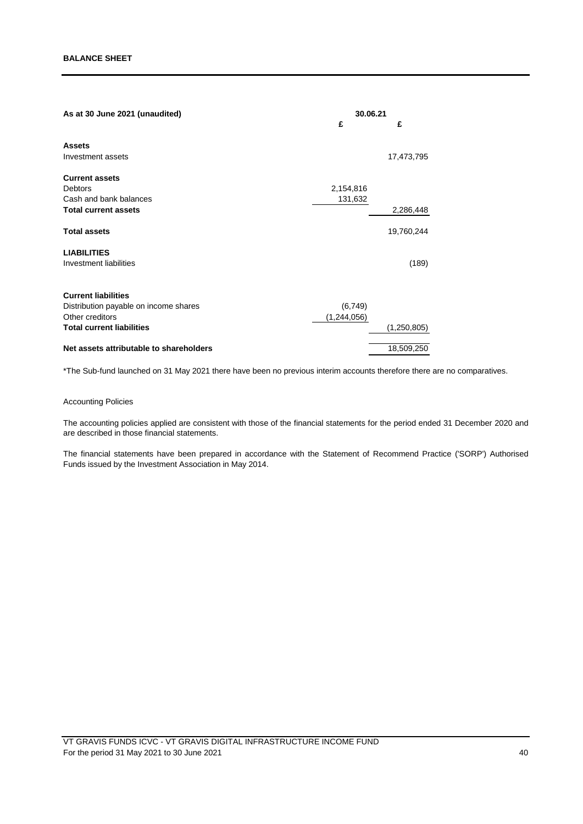| As at 30 June 2021 (unaudited)          | 30.06.21      |               |
|-----------------------------------------|---------------|---------------|
|                                         | £             | £             |
| <b>Assets</b>                           |               |               |
| Investment assets                       |               | 17,473,795    |
| <b>Current assets</b>                   |               |               |
| Debtors                                 | 2,154,816     |               |
| Cash and bank balances                  | 131,632       |               |
| <b>Total current assets</b>             |               | 2,286,448     |
| <b>Total assets</b>                     |               | 19,760,244    |
| <b>LIABILITIES</b>                      |               |               |
| Investment liabilities                  |               | (189)         |
| <b>Current liabilities</b>              |               |               |
| Distribution payable on income shares   | (6, 749)      |               |
| Other creditors                         | (1, 244, 056) |               |
| <b>Total current liabilities</b>        |               | (1, 250, 805) |
| Net assets attributable to shareholders |               | 18,509,250    |
|                                         |               |               |

\*The Sub-fund launched on 31 May 2021 there have been no previous interim accounts therefore there are no comparatives.

## Accounting Policies

The accounting policies applied are consistent with those of the financial statements for the period ended 31 December 2020 and are described in those financial statements.

The financial statements have been prepared in accordance with the Statement of Recommend Practice ('SORP') Authorised Funds issued by the Investment Association in May 2014.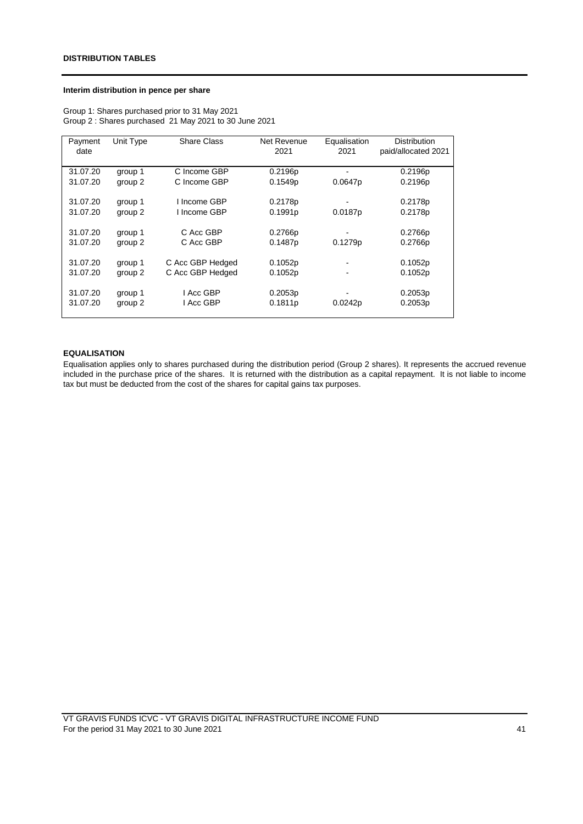## **Interim distribution in pence per share**

Group 1: Shares purchased prior to 31 May 2021 Group 2 : Shares purchased 21 May 2021 to 30 June 2021

| Payment  | Unit Type | <b>Share Class</b> | Net Revenue | Equalisation   | <b>Distribution</b> |
|----------|-----------|--------------------|-------------|----------------|---------------------|
| date     |           |                    | 2021        | 2021           | paid/allocated 2021 |
| 31.07.20 | group 1   | C Income GBP       | 0.2196p     |                | 0.2196p             |
| 31.07.20 | group 2   | C Income GBP       | 0.1549p     | 0.0647p        | 0.2196p             |
| 31.07.20 | group 1   | I Income GBP       | 0.2178p     |                | 0.2178p             |
| 31.07.20 | group 2   | I Income GBP       | 0.1991p     | 0.0187p        | 0.2178p             |
| 31.07.20 | group 1   | C Acc GBP          | 0.2766p     |                | 0.2766p             |
| 31.07.20 | group 2   | C Acc GBP          | 0.1487p     | 0.1279p        | 0.2766p             |
| 31.07.20 | group 1   | C Acc GBP Hedged   | 0.1052p     |                | 0.1052p             |
| 31.07.20 | group 2   | C Acc GBP Hedged   | 0.1052p     | $\blacksquare$ | 0.1052p             |
| 31.07.20 | group 1   | I Acc GBP          | 0.2053p     |                | 0.2053p             |
| 31.07.20 | group 2   | I Acc GBP          | 0.1811p     | 0.0242p        | 0.2053p             |

#### **EQUALISATION**

Equalisation applies only to shares purchased during the distribution period (Group 2 shares). It represents the accrued revenue included in the purchase price of the shares. It is returned with the distribution as a capital repayment. It is not liable to income tax but must be deducted from the cost of the shares for capital gains tax purposes.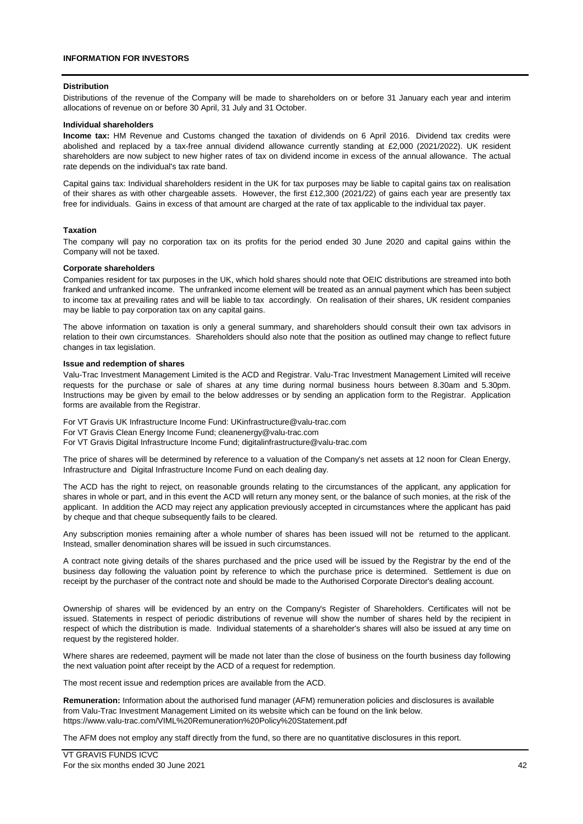## **INFORMATION FOR INVESTORS**

#### **Distribution**

Distributions of the revenue of the Company will be made to shareholders on or before 31 January each year and interim allocations of revenue on or before 30 April, 31 July and 31 October.

#### **Individual shareholders**

**Income tax:** HM Revenue and Customs changed the taxation of dividends on 6 April 2016. Dividend tax credits were abolished and replaced by a tax-free annual dividend allowance currently standing at £2,000 (2021/2022). UK resident shareholders are now subject to new higher rates of tax on dividend income in excess of the annual allowance. The actual rate depends on the individual's tax rate band.

Capital gains tax: Individual shareholders resident in the UK for tax purposes may be liable to capital gains tax on realisation of their shares as with other chargeable assets. However, the first £12,300 (2021/22) of gains each year are presently tax free for individuals. Gains in excess of that amount are charged at the rate of tax applicable to the individual tax payer.

#### **Taxation**

The company will pay no corporation tax on its profits for the period ended 30 June 2020 and capital gains within the Company will not be taxed.

#### **Corporate shareholders**

Companies resident for tax purposes in the UK, which hold shares should note that OEIC distributions are streamed into both franked and unfranked income. The unfranked income element will be treated as an annual payment which has been subject to income tax at prevailing rates and will be liable to tax accordingly. On realisation of their shares, UK resident companies may be liable to pay corporation tax on any capital gains.

The above information on taxation is only a general summary, and shareholders should consult their own tax advisors in relation to their own circumstances. Shareholders should also note that the position as outlined may change to reflect future changes in tax legislation.

#### **Issue and redemption of shares**

Valu-Trac Investment Management Limited is the ACD and Registrar. Valu-Trac Investment Management Limited will receive requests for the purchase or sale of shares at any time during normal business hours between 8.30am and 5.30pm. Instructions may be given by email to the below addresses or by sending an application form to the Registrar. Application forms are available from the Registrar.

For VT Gravis UK Infrastructure Income Fund: UKinfrastructure@valu-trac.com

For VT Gravis Clean Energy Income Fund; cleanenergy@valu-trac.com

For VT Gravis Digital Infrastructure Income Fund; digitalinfrastructure@valu-trac.com

The price of shares will be determined by reference to a valuation of the Company's net assets at 12 noon for Clean Energy, Infrastructure and Digital Infrastructure Income Fund on each dealing day.

The ACD has the right to reject, on reasonable grounds relating to the circumstances of the applicant, any application for shares in whole or part, and in this event the ACD will return any money sent, or the balance of such monies, at the risk of the applicant. In addition the ACD may reject any application previously accepted in circumstances where the applicant has paid by cheque and that cheque subsequently fails to be cleared.

Any subscription monies remaining after a whole number of shares has been issued will not be returned to the applicant. Instead, smaller denomination shares will be issued in such circumstances.

A contract note giving details of the shares purchased and the price used will be issued by the Registrar by the end of the business day following the valuation point by reference to which the purchase price is determined. Settlement is due on receipt by the purchaser of the contract note and should be made to the Authorised Corporate Director's dealing account.

Ownership of shares will be evidenced by an entry on the Company's Register of Shareholders. Certificates will not be issued. Statements in respect of periodic distributions of revenue will show the number of shares held by the recipient in respect of which the distribution is made. Individual statements of a shareholder's shares will also be issued at any time on request by the registered holder.

Where shares are redeemed, payment will be made not later than the close of business on the fourth business day following the next valuation point after receipt by the ACD of a request for redemption.

The most recent issue and redemption prices are available from the ACD.

**Remuneration:** Information about the authorised fund manager (AFM) remuneration policies and disclosures is available from Valu-Trac Investment Management Limited on its website which can be found on the link below. [https://www.valu-trac.com/VIML%20Remuneration%20Policy%20Statement.pdf](https://www.valu-trac.com/VIML Remuneration Policy Statement.pdf)

The AFM does not employ any staff directly from the fund, so there are no quantitative disclosures in this report.